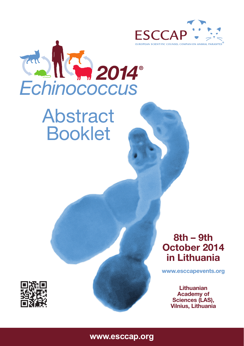



# Abstract Booklet



**www.esccapevents.org**

**Lithuanian Academy of Sciences (LAS), Vilnius, Lithuania**



**www.esccap.org**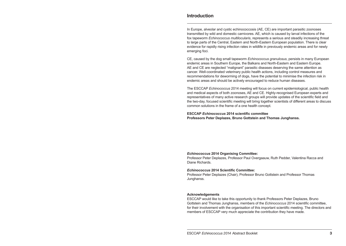## **Introduction**

In Europe, alveolar and cystic echinococcosis (AE, CE) are important parasitic zoonoses transmitted by wild and domestic carnivores. AE, which is caused by larval infections of the fox tapeworm *Echinococcus multilocularis*, represents a serious and steadily increasing threat to large parts of the Central, Eastern and North-Eastern European population. There is clear evidence for rapidly rising infection rates in wildlife in previously endemic areas and for newly emerging foci.

CE, caused by the dog small tapeworm *Echinococcus granulosus*, persists in many European endemic areas in Southern Europe, the Balkans and North-Eastern and Eastern Europe. AE and CE are neglected "malignant" parasitic diseases deserving the same attention as cancer. Well-coordinated veterinary public health actions, including control measures and recommendations for deworming of dogs, have the potential to minimise the infection risk in endemic areas and should be actively encouraged to reduce human diseases.

The ESCCAP *Echinococcus* 2014 meeting will focus on current epidemiological, public health and medical aspects of both zoonoses, AE and CE. Highly-recognised European experts and representatives of many active research groups will provide updates of the scientific field and the two-day, focused scientific meeting will bring together scientists of different areas to discuss common solutions in the frame of a one health concept.

**ESCCAP** *Echinococcus* **2014 scientific committee Professors Peter Deplazes, Bruno Gottstein and Thomas Junghanss.**

#### *Echinococcus* **2014 Organising Committee:**

Professor Peter Deplazes, Professor Paul Overgaauw, Ruth Pedder, Valentina Racca and Diane Richards.

#### *Echinococcus* **2014 Scientific Committee:**

Professor Peter Deplazes (Chair), Professor Bruno Gottstein and Professor Thomas Junghanss.

#### **Acknowledgements**

ESCCAP would like to take this opportunity to thank Professors Peter Deplazes, Bruno Gottstein and Thomas Junghanss, members of the *Echinococcus* 2014 scientific committee, for their involvement with the organisation of this important scientific meeting. The directors and members of ESCCAP very much appreciate the contribution they have made.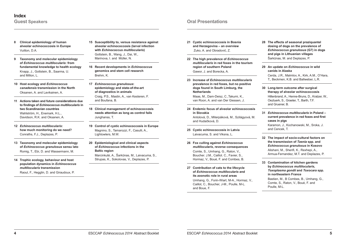- **8 Clinical epidemiology of human alveolar echinococcosis in Europe** Vuitton, D.A.
- **9 Taxonomy and molecular epidemiology of** *Echinococcus multilocularis***: from fundamental knowledge to health ecology** Knapp, J., Gottstein, B., Saarma, U. and Millon, L.
- **10 Host ecology and** *Echinococcus canadensis* **transmission in the North** Oksanen, A. and Lavikainen, A.
- **11 Actions taken and future considerations due to findings of** *Echinococcus multilocularis* **in two Scandinavian countries** Wahlström, H., Enemark, H.L., Davidson, R.K. and Oksanen, A.
- **12** *Echinococcus multilocularis***: how much monitoring do we need?** Conraths, F.J., Deplazes, P.
- **13 Taxonomy and molecular epidemiology of** *Echinococcus granulosus* **sensu lato** Romig, T., Ebi, D. and Wassermann, M.
- **14 Trophic ecology, behaviour and host population dynamics in** *Echinococcus multilocularis* **transmission**  Raoul, F., Hegglin, D. and Giraudoux, P.
- **15 Susceptibility to, versus resistance against alveolar echinococcosis (larval infection with** *Echinococcus multilocularis***)** Gottstein, B., Wang, J., Dai, W., Marinova, I. and Müller, N.
- **16 Recent developments in** *Echinococcus* **genomics and stem cell research** Brehm, K.
- **17** *Echinococcus granulosus***: epidemiology and state-of-the-art of diagnostics in animals** Craig, P.S., Mastin, A., van Kesteren, F. and Boufana, B.
- **18 Clinical management of echinococcosis needs attention as long as control fails**  Junghanss, T.
- **19 Control of cystic echinococcosis in Europe**  Magnino, S., Tamarozzi, F., Casulli, A., Lightowlers, M.W.
- **20 Epidemiological and clinical aspects of** *Echinococcus* **infections in the Baltic region** Marcinkutė, A., Šarkūnas, M., Laivacuma, S., Strupas, K., Sokolovas, V., Deplazes, P.

# **Guest Speakers Oral Presentations**

- **21 Cystic echinococcosis in Bosnia and Herzegovina – an overview** Zuko, A. and Obradović, Z.
- **22 The high prevalence of** *Echinococcus multilocularis* **in red foxes in the tourism region of southern Poland** Gawor, J. and Borecka, A.
- **23 Increase of** *Echinococcus multilocularis* **prevalence in red foxes, but no positive dogs found in South Limburg, the Netherlands**

Maas, M., Dam-Deisz, C.,Takumi, K., van Roon, A. and van Der Giessen, J.

**24 Endemic focus of alveolar echinococcosis in Slovakia** 

Antolová, D., Miterpáková, M., Szilágyová, M. and Hudačková, D.

- **25 Cystic echinococcosis in Latvia** Laivacuma, S. and Viksna, L.
- **26 Fox culling against** *Echinococcus multilocularis***, reverse consequences**

Comte, S., Umhang, G., Raton, V., Boucher. J.M., Caillot. C., Favier, S., Hormaz, V., Boué, F. and Combes, B.

**27 Contribution of cats to the lifecycle of** *Echinococcus multilocularis* **and its zoonotic role in rural areas** 

Umhang, G., Forin-Wiart, M-A., Hormaz, V., Caillot, C., Boucher, J-M., Poulle, M-L. and Boue, F.

- **28 The effects of seasonal praziquantel dosing of dogs on the prevalence of**  *Echinococcus granulosus* **(G7) in dogs and pigs in Lithuanian villages** Šarkūnas, M. and Deplazes, P.
- **29 An update on** *Echinococcus* **in wild canids in Alaska** Cerda, J.R., Malmlov, A., Kirk, A.M., O'Hara, T., Beckmen, K.B. and Ballweber, L.R.
- **30 Long-term outcome after surgical therapy of alveolar echinococcosis** Hillenbrand, A., Henne-Bruns, D., Kratzer, W., Oeztuerk, S., Graeter, T., Barth, T.F. and Gruener, B.
- **31** *Echinococcus multilocularis* **in Poland current prevalence in red foxes and first cases in pigs**

Karamon, J., Kochanowski, M., Sroka, J. and Cencek, T.

- **32 The impact of socio-cultural factors on the transmission of** *Taenia* **spp. and**  *Echinococcus granulosus* **in Kosovo** Alishani, M., Sherifi, K., Rexheni, A., Armua-Fernandez, M.T. and Deplazes, P.
- **33 Contamination of kitchen gardens by** *Echinococcus multilocularis***,**  *Toxoplasma gondii* **and** *Toxocara* **spp. in northeastern France** Bastien, M., B Combes, B., Umhang, G., Comte, S., Raton, V., Boué, F. and Poulle, M-L.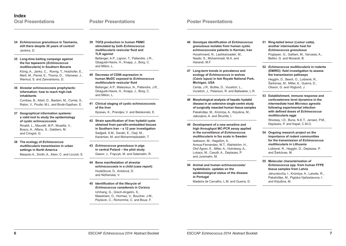- **34** *Echinococcus granulosus* **in Tasmania, still there despite 30 years of control!** Jenkins, D.
- **35 Long-time baiting campaign against the fox tapeworm (***Echinococcus multilocularis***) in Southern Bavaria**

König, A., Janko, C., Romig, T., Holzhofer, E., Merli, M., Perret, E., Thoma, D., Vilsmeier, J., Wermut, S. and Zannantonio, D.

**36 Alveolar echinococcosis prophylactic information: how to reach high-risk inhabitants**

Combes, B., Allart, D., Bastien, M., Comte, S., Raton, V., Poulle, M.L. and Brulé-Gapihan, E.

- **37 Geographical information systems: a valid tool to study the epidemiology of cystic echinococcosis** Rinaldi, L., Maurelli, M.P., Musella, V. Bosco, A., Alfano, S., Galdiero, M. and Cringoli, G.
- **38 The ecology of** *Echinococcus multilocularis* **transmission in urban settings in North America** Massolo A., Smith, A., Klein, C. and Liccioli, S.
- **39 TGFβ production in human PBMC stimulated by both** *Echinococcus multilocularis* **vesicular fluid and TLR agonist** Bellanger, A.P., Lignon, T., Pallandre, J.R., Gbaguidi-Haore, H., Knapp, J., Borg, C. and Millon, L.
- **40 Decrease of CD86 expression in human MoDC exposed to** *Echinococcus multilocularis* **vesicular fluid** Bellanger, A.P., Malezieux, N., Pallandre, J.R., Gbaguidi-Haore, H., Knapp, J., Borg, C. and Millon, L.
- **41 Clinical staging of cystic echinococcosis of the liver**

Kjossev, K., Prandjev, V. and Belokonski, E.

- **42 Strain specification of liver hydatid cysts obtained from parrafin-embedded tissues in Southern Iran – a 12 year investigation** Sadjjadi, S.M., Darabi, E., Owji, M., Karamian, M. and Mohammadzadeh, T.
- **43** *Echinococcus granulosus* **in pigs in central Poland – the pilot study** Gawor, J., Frączyk, M. and Salamatin, R.
- **44 Bone manifestation of alveolar echinococcosis in a child (case report)** Hudáčková, D., Antolová, D. and Nižňanská, V.
- **45 Identification of the lifecycle of**  *Echinococcus canadensis* **in Corsica** Umhang, G., Grech-Angelini, S., Maestriani, O., Hormaz, V., Boucher, J-M., Peytavin, C., Richomme, C. and Boue, F.

**46 Genotype identification of** *Echinococcus granulosus* **isolates from human cystic echinococcosis patients in Kerman, Iran** Hooshmand, N., Lashkarizadeh, M., Nasibi, S., Mohammadi, M.A. and Harandi, M.F.

**Poster Presentations**

- **47 Long-term trends in prevalence and ecology of** *Echinococcus* **in wolves (***Canis lupus***) in Isle Royale National Park, Michigan, USA** Cerda, J.R., Buttke, D., Vucetich, L., Vucetich, J., Peterson, R. and Ballweber, L.R.
- **48 Morphological analysis of hepatic hydatid disease in an extensive single-centre study of surgically resected human tissue samples** Pakalnišķe, M., Krūmiņa, A., Kirjušina, M., Jakovļevs, A. and Štrumfa, I.
- **49 Development of a new sensitive and high throughput MC-PCR assay applied in the surveillance of** *Echinococcus multilocularis* **in fox scats in Sweden** Isaksson, M., Hagstöm, A., Armua-Fernandez, M.T., Wahlström, H., Olof Ågren, E., Miller, A., Holmberg, A.,
- **50 Animal and human echinococcosis/ hydatidosis: updates on the epidemiological status of the disease in Portugal**

Lukacs, M., Casulli, A., Deplazes, P.

and Juremalm, M.

Madeira de Carvalho, L.M. and Guerra, D.

**51 Ring-tailed lemur (***Lemur catta***), another intermediate host for**  *Echinococcus granulosus*

> Poglayen, G., Galliani, M., Varcasia, A., Bettini, G. and Morandi, B.

**52** *Echinococcus multilocularis* **in rodents (EMIRO): field investigation to assess the transmission pathways**

Hegglin, D., Beerli, O., Loibienė, R., Šarkūnas, M., Miller, A., Guerra, D., Olsson, G. and Höglund, J.

**53 Establishment, immune response and corticosterone level dynamics in the intermediate host** *Microtus agrestis* **following experimental infection with defined doses of** *Echinococcus multilocularis* **eggs**

Woolsey, I.D., Bune, N.E.T., Jensen, P.M., Deplazes, P. and Kapel, C.M.O.

- **54 Ongoing research project on the importance of rodent communities for the transmission of** *Echinococcus multilocularis* **in Lithuania** Loibienė, R., Hegglin, D., Deplazes, P. and Šarkūnas, M.
- **55 Molecular characterisation of**  *Echinococcus* **spp. from human FFPE tissue samples from Latvia** Jahundoviča, I., Krūmiņa, A., Latvele, R., Pakalnišķe, M., Pigiņka-Vjačeslavova, I. and Kirjušina, M.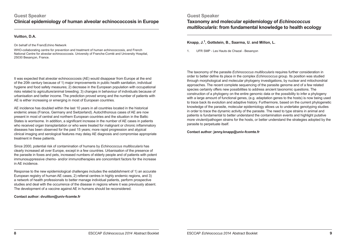# **Guest Speaker Clinical epidemiology of human alveolar echinococcosis in Europe**

#### **Vuitton, D.A.**

#### On behalf of the FrancEchino Network

WHO-collaborating centre for prevention and treatment of human echinococcosis, and French National Centre for alveolar echinococcosis. University of Franche-Comté and University Hospital, 25030 Besançon, France.

It was expected that alveolar echinococcosis (AE) would disappear from Europe at the end of the 20th century because of 1) major improvements in public health sanitation, individual hygiene and food safety measures; 2) decrease in the European population with occupational risks related to agriculture/animal breeding; 3) changes in behaviour of individuals because of urbanisation and better income. The prediction proved wrong and the number of patients with AE is either increasing or emerging in most of European countries.

AE incidence has doubled within the last 10 years in all countries located in the historical endemic areas (France, Germany and Switzerland). Autochthonous cases of AE are now present in most of central and northern European countries and the situation in the Baltic States is worrisome. In addition, a significant increase in the number of AE cases in patients who received organ transplantation or who were treated for malignant or chronic inflammatory diseases has been observed for the past 15 years; more rapid progression and atypical clinical imaging and serological features may delay AE diagnosis and compromise appropriate treatment in these patients.

Since 2000, potential risk of contamination of humans by *Echinococcus multilocularis* has clearly increased all over Europe, except in a few countries. Urbanisation of the presence of the parasite in foxes and pets, increased numbers of elderly people and of patients with potent immunosuppressive chemo- and/or immunotherapies are concomitant factors for the increase in AE incidence.

Response to the new epidemiological challenges includes the establishment of 1) an accurate European registry of human AE cases, 2) referral centres in highly endemic regions, and 3) a network of health professionals to better manage individual patients, perform prospective studies and deal with the occurrence of the disease in regions where it was previously absent. The development of a vaccine against AE in humans should be reconsidered.

**Contact author: dvuitton@univ-fcomte.fr** 

# **Guest Speaker Taxonomy and molecular epidemiology of** *Echinococcus multilocularis***: from fundamental knowledge to health ecology**

## **Knapp, J.1, Gottstein, B., Saarma, U. and Millon, L.**

1. UFR SMP - Les Hauts de Chazal - Besançon

The taxonomy of the parasite *Echinococcus multilocularis* requires further consideration in order to better define its place in the complex *Echinococcus* group. Its position was studied through morphological and molecular phylogeny investigations, by nuclear and mitochondrial approaches. The recent complete sequencing of the parasite genome and of a few related species certainly offers new possibilities to address ancient taxonomic questions. The construction of a phylogeny on the entire genomic data or the possibility to infer a phylogeny with a large amount of functional genes, (e.g. adaptation genes to the hosts) is now being used to trace back its evolution and adaptive history. Furthermore, based on the current phylogenetic knowledge of the parasite, molecular epidemiology allows us to undertake genotyping studies in order to trace the dynamic activity of the parasite. The need to type strains in animal and patients is fundamental to better understand the contamination events and highlight putative more virulent/pathogen strains for the hosts, or better understand the strategies adopted by the parasite to perpetuate itself.

**Contact author: jenny.knapp@univ-fcomte.fr**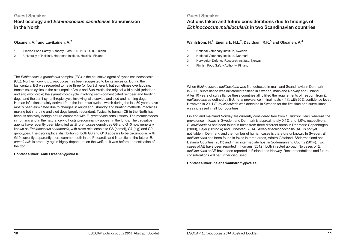# **Guest Speaker Host ecology and** *Echinococcus canadensis* **transmission in the North**

## **Oksanen, A.1 and Lavikainen, A.2**

- 1. Finnish Food Safety Authority Evira (FINPAR), Oulu, Finland
- 2. University of Helsinki, Haartman Institute, Helsinki, Finland

The *Echinococcus granulosus* complex (EG) is the causative agent of cystic echinococcosis (CE). Northern cervid *Echinococcus* has been suggested to be its ancestor. During the last century, EG was regarded to have three (or four) different, but sometimes overlapping, transmission cycles in the circumpolar Arctic and Sub-Arctic: the original wild cervid (reindeer and elk) -wolf cycle; the synanthropic cycle involving semi-domesticated reindeer and herding dogs; and the semi-synanthropic cycle involving wild cervids and sled and hunting dogs. Human infections mainly derived from the latter two cycles, which during the last 50 years have mostly been eliminated due to changes in reindeer husbandry and hunting methods; machines making both herding and sled dogs largely redundant. Typical to human CE in the North has been its relatively benign nature compared with *E. granulosus* sensu stricto. The metacestodes in humans and in the natural cervid hosts predominantly appear in the lungs. The causative agents have recently been identified as *E. granulosus* genotypes G8 and G10 now generally known as *Echinococcus canadensis*, with close relationship to G6 (camel), G7 (pig) and G9 genotypes. The geographical distribution of both G8 and G10 appears to be circumpolar, with G10 currently apparently more common both in the Palearctic and Nearctic. In the future, *E. canadensis* is probably again highly dependent on the wolf, as it was before domestication of the dog.

#### **Contact author: Antti.Oksanen@evira.fi**

**Guest Speaker Actions taken and future considerations due to findings of**  *Echinococcus multilocularis* **in two Scandinavian countries**

# **Wahlström, H.1, Enemark, H.L.2, Davidson, R.K.3 and Oksanen, A.4**

- 1. National Veterinary Institute, Sweden
- 2. National Veterinary Institute, Denmark
- 3. Norwegian Defence Research Institute, Norway
- 4. Finnish Food Safety Authority, Finland

When *Echinococcus multilocularis* was first detected in mainland Scandinavia in Denmark in 2000, surveillance was initiated/intensified in Sweden, mainland Norway and Finland. After 10 years of surveillance these countries all fulfilled the requirements of freedom from *E. multilocularis* as defined by EU, i.e. a prevalence in final hosts < 1% with 95% confidence level. However, in 2011 *E. multilocularis* was detected in Sweden for the first time and surveillance was increased in all four countries.

Finland and mainland Norway are currently considered free from *E. multilocularis*, whereas the prevalence in foxes in Sweden and Denmark is approximately 0.1% and 1.0%, respectively. *E. multilocularis* has been found in foxes from three different areas in Denmark: Copenhagen (2000), Højer (2012-14) and Grindsted (2014). Alveolar echinococcosis (AE) is not yet notifiable in Denmark, and the number of human cases is therefore unknown. In Sweden, *E. multilocularis* has been found in foxes in three areas, Västra Götaland, Södermanland and Dalarna Counties (2011) and in an intermediate host in Södermanland County (2014). Two cases of AE have been reported in humans (2012), both infected abroad. No cases of *E. multilocularis* or AE have been reported in Finland and Norway. Recommendations and future considerations will be further discussed.

**Contact author: helene.wahlstrom@sva.se**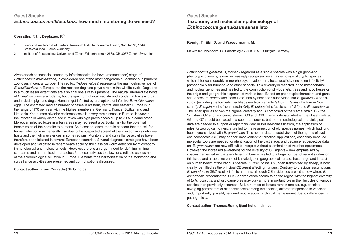# **Guest Speaker** *Echinococcus multilocularis***: how much monitoring do we need?**

## **Conraths, F.J.1, Deplazes, P.2**

- 1. Friedrich-Loeffler-Institut, Federal Research Institute for Animal Health, Südufer 10, 17493 Greifswald-Insel Riems, Germany
- 2. Institute of Parasitology, University of Zürich, Winterthurerstr. 266a. CH-8057 Zurich, Switzerland

Alveolar echinococcosis, caused by infections with the larval (metacestode) stage of *Echinococcus multilocularis*, is considered one of the most dangerous autochthonous parasitic zoonoses in central Europe. The red fox (*Vulpes vulpes*) represents the main definitive host of *E. multilocularis* in Europe, but the raccoon dog also plays a role in the wildlife cycle. Dogs and to a much lesser extent cats are also final hosts of this parasite. The natural intermediate hosts of *E. multilocularis* are rodents, but the spectrum of intermediate and accidental hosts is broad and includes pigs and dogs. Humans get infected by oral uptake of infective *E. multilocularis* eggs. The estimated median number of cases in western, central and eastern Europe is in the range of 170 per year with the highest numbers in Germany, France, Switzerland and Lithuania. Yet, human alveolar echinococcosis is a very rare disease in Europe. However, the infection is widely distributed in foxes with high prevalences of up to 70% in some areas. Moreover, infected foxes in urban areas may represent a particular risk for the potential transmission of the parasite to humans. As a consequence, there is concern that the risk for human infection may generally rise due to the suspected spread of the infection in its definitive hosts and the high prevalences in some regions. Monitoring and surveillance activities have therefore been initiated in several European countries. Several diagnostic strategies have been developed and validated in recent years applying the classical worm detection by microscopy, immunological and molecular tests. However, there is an urgent need for defining minimal standards and harmonised approaches for these activities to allow for a reliable assessment of the epidemiological situation in Europe. Elements for a harmonisation of the monitoring and surveillance activities are presented and control options discussed.

**Contact author: Franz.Conraths@fli.bund.de**

# **Guest Speaker Taxonomy and molecular epidemiology of**  *Echinococcus granulosus* **sensu lato**

#### **Romig, T., Ebi, D. and Wassermann, M.**

Universität Hohenheim, FG Parasitologie 220 B, 70599 Stuttgart, Germany

*Echinococcus granulosus*, formerly regarded as a single species with a high geno-and phenotypic diversity, is now increasingly recognised as an assemblage of cryptic species which differ considerably in morphology, development, host specificity (including infectivity/ pathogenicity for humans) and other aspects. This diversity is reflected in the mitochondrial and nuclear genomes and has led to the construction of phylogenetic trees and hypotheses on the origin and geographic dispersal of various taxa. Based on phenotypic characters and gene sequences, *E. granulosus* (sensu lato) has by now been subdivided into *E. granulosus* sensu stricto (including the formerly identified genotypic variants G1-3), *E. felidis* (the former 'lion strain'), *E. equinus* (the 'horse strain' G4), *E. ortleppi* (the 'cattle strain' G5) and *E. canadensis.* The latter species shows the highest diversity and is composed of the 'camel strain' G6, the 'pig strain' G7 and two 'cervid strains', G8 and G10. There is debate whether the closely related G6 and G7 should be placed in a separate species, but more morphological and biological data are needed to support or reject this view. In this new classification, the application of rules for zoological nomenclature led to the resurrection of old species names, which had long been synonymized with *E. granulosus*. This nomenclatoral subdivision of the agents of cystic echinococcosis (CE) may appear inconvenient for practical applications, especially because molecular tools are needed for identification of the cyst stage, and because retrospective data on '*E. granulosus*' are now difficult to interpret without examination of voucher specimens. However, the increased awareness for the diversity of CE agents – now emphasised by species names rather that genotype numbers – has led to a large number of recent studies on this issue and a rapid increase of knowledge on geographical spread, host range and impact on human health of the various species. *E. granulosus* s.s., often transmitted by sheep, is now clearly identified as the principal CE agent affecting humans. Contrary to previous assumptions, *E. canadensis* G6/7 readliy infects humans, although CE incidences are rather low where *E. canadensis* predominates. Sub-Saharan Africa seems to be the region with the highest diversity of *Echinococcus*, and wild carnivores may play a more important role in the lifecycles of various species than previously assumed. Still, a number of issues remain unclear, e.g. possibly diverging parameters of diagnostic tests among the species, different responses to vaccines and, importantly, possibly required modifications of clinical management due to differences in pathogenicity.

**Contact author: Thomas.Romig@uni-hohenheim.de**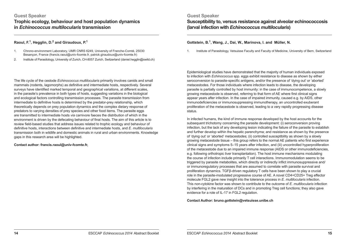# **Guest Speaker Trophic ecology, behaviour and host population dynamics in** *Echinococcus multilocularis* **transmission**

## **Raoul, F.1, Hegglin, D.2 and Giraudoux, P.1**

- 1. Chrono-environment Laboratory, UMR CNRS 6249, University of Franche-Comté, 25030 Besançon, France (francis.raoul@univ-fcomte.fr, patrick.giraudoux@univ-fcomte.fr)
- 2. Institute of Parasitology, University of Zurich, CH-8057 Zurich, Switzerland (daniel.hegglin@swild.ch)

The life cycle of the cestode *Echinococcus multilocularis* primarily involves canids and small mammals (rodents, lagomorphs) as definitive and intermediate hosts, respectively. Several surveys have identified marked temporal and geographical variations, at different scales, in the parasite's prevalence in both types of hosts, suggesting variations in the biological and ecological factors controlling transmission processes. The parasite transmission from intermediate to definitive hosts is determined by the predator-prey relationship, which theoretically depends on prey population dynamics and the complex dietary response of predators to varying densities of prey species and other food items. The parasite eggs are transmitted to intermediate hosts *via* carnivore faeces the distribution of which in the environment is driven by the defecating behaviour of final hosts. The aim of this article is to review field-based studies that address issues related to trophic ecology and behaviour of definitive hosts, interactions between definitive and intermediate hosts, and *E. multilocularis* transmission both in wildlife and domestic animals in rural and urban environments. Knowledge gaps in this research area will be highlighted.

**Contact author: francis.raoul@univ-fcomte.fr,**

**Guest Speaker Susceptibility to, versus resistance against alveolar echinococcosis (larval infection with** *Echinococcus multilocularis***)**

## **Gottstein, B.1, Wang, J., Dai, W., Marinova, I. and Müller, N.**

1. Institute of Parasitology, Vetsuisse Faculty and Faculty of Medicine, University of Bern, Switzerland

Epidemiological studies have demonstrated that the majority of human individuals exposed to infection with *Echinococcus* spp. eggs exhibit resistance to disease as shown by either seroconversion to parasite-specific antigens, and/or the presence of 'dying out' or 'aborted' metacestodes. For those individuals where infection leads to disease, the developing parasite is partially controlled by host immunity: in the case of immunocompetence, a slowly growing metacestode is observed, referring to that form of AE where first clinical signs appear years after infection. In the case of impaired immunity, caused e.g. by AIDS, other immunodeficiencies or immunosuppressing immunotherapy, an uncontrolled exuberant proliferation of the metacestode is observed, leading to a very rapidly progressing disease status.

In infected humans, the kind of immune response developed by the host accounts for the subsequent trichotomy concerning the parasite development: (i) seroconversion proving infection, but the lack of any developing lesion indicating the failure of the parasite to establish and further develop within the hepatic parenchyma; and resistance as shown by the presence of 'dying out' or 'aborted' metacestodes; (ii) controlled susceptibility as shown by a slowly growing metacestode tissue – this group refers to the normal AE patients who first experience clinical signs and symptoms 5–15 years after infection, and (iii) uncontrolled hyperproliferation of the metacestode due to an impaired immune response (AIDS or other immunodeficiencies, e.g. following orthotropic liver transplantation). The host immune mechanisms modulating the course of infection include primarily T cell interactions. Immunomodulation seems to be triggered by parasite metabolites, which directly or indirectly inflict immunosuppressive and/ or immunoregulatory processes that are assumed to correlate with parasite survival and proliferation dynamics. TGFβ-driven regulatory T cells have been shown to play a crucial role in the parasite-modulated progressive course of AE. A novel CD4+CD25+ Treg effector molecule FGL2 gave new insight into the tolerance process in *E. multilocularis* infection. This non-cytokine factor was shown to contribute to the outcome of *E. multilocularis* infection by interfering in the maturation of DCs and in promoting Treg cell functions; they also gave evidence for a role of IL-17 in FGL2 regulation.

**Contact Author: bruno.gottstein@vetsuisse.unibe.ch**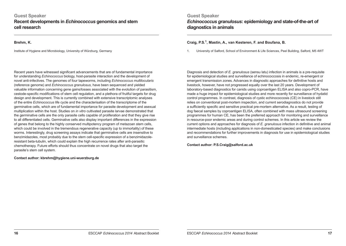# **Guest Speaker Recent developments in** *Echinococcus* **genomics and stem cell research**

**Brehm, K.**

Institute of Hygiene and Microbiology, University of Würzburg, Germany

Recent years have witnessed significant advancements that are of fundamental importance for understanding *Echinococcus* biology, host-parasite interaction and the development of novel anti-infectives. The genomes of four tapeworms, including *Echinococcus multilocularis* (reference genome) and *Echinococcus granulosus*, have been sequenced and yielded valuable information concerning gene gains/losses associated with the evolution of parasitism, cestode-specific modifications of stem cell regulation, and a plethora of fruitful targets for drug design and development. This is currently combined with extensive transcriptomic analyses of the entire *Echinococcus* life cycle and the characterisation of the transcriptome of the germinative cells, which are of fundamental importance for parasite development and asexual multiplication within the host. Studies on *in vitro* cultivated parasite larvae demonstrated that the germinative cells are the only parasite cells capable of proliferation and that they give rise to all differentiated cells. Germinative cells also display important differences in the expression of genes that belong to the highly conserved multipotency program of metazoan stem cells, which could be involved in the tremendous regenerative capacity (up to immortality) of these worms. Interestingly, drug screening assays indicate that germinative cells are insensitive to benzimidazoles, most probably due to the stem cell-specific expression of a benzimidazoleresistant beta-tubulin, which could explain the high recurrence rates after anti-parasitic chemotherapy. Future efforts should thus concentrate on novel drugs that also target the parasite's stem cell system.

#### **Contact author: kbrehm@hygiene.uni-wuerzburg.de**

**Guest Speaker** *Echinococcus granulosus***: epidemiology and state-of-the-art of diagnostics in animals**

## **Craig, P.S.1, Mastin, A., van Kesteren, F. and Boufana, B.**

1. University of Salford, School of Environment & Life Sciences, Peel Building, Salford, M5 4WT

Diagnosis and detection of *E. granulosus* (sensu latu) infection in animals is a pre-requisite for epidemiological studies and surveillance of echinococcosis in endemic, re-emergent or emergent transmission zones. Advances in diagnostic approaches for definitive hosts and livestock, however, have not progressed equally over the last 20 years. Development of laboratory-based diagnostics for canids using coproantigen ELISA and also copro-PCR, have made a huge impact for epidemiological studies and more recently for surveillance of hydatid control programmes. In contrast, diagnosis of cystic echinococcosis (CE) in livestock still relies on conventional post-mortem inspection, and current serodiagnostics do not provide a sufficiently specific and sensitive practical pre-mortem alternative. As a result, testing of dog faecal samples by coproantigen ELISA, often combined with mass ultrasound screening programmes for human CE, has been the preferred approach for monitoring and surveillance in resource-poor endemic areas and during control schemes. In this article we review the current options and approaches for diagnosis of *E. granulosus* infection in definitive and animal intermediate hosts (including applications in non-domesticated species) and make conclusions and recommendations for further improvements in diagnosis for use in epidemiological studies and surveillance schemes.

**Contact author: P.S.Craig@salford.ac.uk**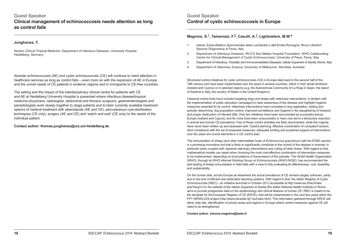# **Guest Speaker Clinical management of echinococcosis needs attention as long as control fails**

#### **Junghanss, T.**

Section Clinical Tropical Medicine, Department of Infectious Diseases, University Hospital, Heidelberg, Germany

Alveolar echinococcosis (AE) and cystic echinococcosis (CE) will continue to need attention in healthcare services as long as control fails – even more so with the expansion of AE in Europe and the unmet needs of CE patients in endemic regions and in immigrants to CE-free countries.

The setting and the impact of the interdisciplinary clinical centre for patients with CE and AE at Heidelberg University Hospital is presented where infectious disease/tropical medicine physicians, radiologists, abdominal and thoracic surgeons, gastroenterologists and parasitologists work closely together to stage patients and to tailor currently available treatment options of medical treatment with albendazole (AE and CE), percutaneous cyst-sterilisation techniques (CE only), surgery (AE and CE) and 'watch and wait' (CE only) to the needs of the individual patient.

#### **Contact author: thomas.junghanss@urz.uni-heidelberg.de**

# **Guest Speaker Control of cystic echinococcosis in Europe**

## **Magnino, S.1, Tamarozzi, F.2, Casulli, A.3, Lightowlers, M.W.<sup>4</sup>**

- 1. Istituto Zooprofilattico Sperimentale della Lombardia e dell'Emilia-Romagna "Bruno Ubertini", Sezione Diagnostica di Pavia, Italy
- 2. Department of Infectious Diseases, IRCCS San Matteo Hospital Foundation, WHO Collaborating Centre for Clinical Management of Cystic Echinococcosis, University of Pavia, Pavia, Italy
- 3. Department of Infectious, Parasitic and Immunomediated Diseases, Istituto Superiore di Sanità, Rome, Italy
- 4. Department of Veterinary Science, University of Melbourne, Werribee, Australia

Structured control initiatives for cystic echinococcosis (CE) in Europe date back to the second half of the 19th century and have been implemented over the years in several countries, either in their whole territories (Iceland and Cyprus) or in selected regions (e.g. the Autonomous Community of La Rioja in Spain, the island of Sardinia in Italy, the country of Wales in the United Kingdom).

Classical control tools have included targeting dogs and sheep with veterinary interventions, in tandem with the implementation of public education campaigns to raise awareness of the disease and highlight hygienic measures essential for its control. Veterinary interventions have consisted in dog registration, testing and periodic deworming, dog population control, improved surveillance and hygiene in the slaughtering of livestock and proper destruction of infected offal. Only two initiatives have been documented as successful across Europe (Iceland and Cyprus), and far more have been unsuccessful or have only led to a temporary reduction in animal and human CE prevalence. Few of those control activities are fairly documented, while the majority have never been written up and assessed well. Careful planning, effective coordination of competent sectors, strict compliance with the set of proposed measures, adequate funding and sustained support of interventions over the years are crucial elements in a CE control plan.

The immunisation of sheep (and other intermediate hosts of *Echinococcus granulosus*) with the EG95 vaccine is a promising innovative tool that is likely to significantly contribute to the control of the disease in animals, in particular when coupled with classical veterinary interventions and culling of older sheep. With regard to that, mathematical models can assist when choosing the most cost-effective combination of intervention measures to be implemented, depending on local patterns of transmission of the parasite. The World Health Organization (WHO), through its WHO Informal Working Group on Echinococcosis (WHO-IWGE), has recommended the pilot testing of sheep immunisation in field trials with a view to fully evaluating its effectiveness, cost, feasibility and sustainability.

On the human side, across Europe as elsewhere the actual prevalence of CE remains largely unknown, partly due to the lack of efficient and dedicated reporting systems. With regard to that, the Italian Registry of Cystic Echinococcosis (RIEC) - an initiative launched in October 2012 accessible at http://www.iss.it/riec/index. php?lang=2 on the website of the Istituto Superiore di Sanità (the Italian National Health Institute) in Rome aims to provide prospective data on the epidemiology and clinical features of human CE. RIEC is meant to be the template for the European Registry of CE (ERCE), that will be implemented in the next few years within the FP7 HERACLES project (http://www.heracles-fp7.eu/index.html). The information gathered through ERCE will allow, inter alia, identification of priority areas and regions in Europe where control measures against CE will need to be strengthened.

**Contact author: simone.magnino@izsler.it**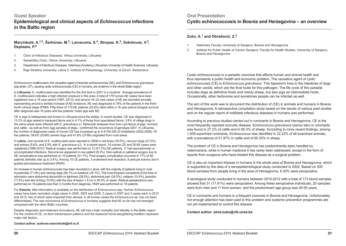## **Guest Speaker**

**Epidemiological and clinical aspects of** *Echinococcus* **infections in the Baltic region**

## **Marcinkutė, A.1,2, Šarkūnas, M.3, Laivacuma, S.4, Strupas, K.2, Sokolovas, V.2, Deplazes, P.<sup>5</sup>**

- 1. Clinic of Infectious Diseases, Vilnius University, Lithuania
- 2. Santariškių Clinic, Vilnius University, Lithuania
- 3. Department of Infectious Diseases, Veterinary Academy, Lithuanian University of Health Sciences, Lithuania
- 4. Riga Stradins University, Latvia 5. Institute of Parasitology, University of Zürich, Switzerland

*Echinococcus multilocularis*, the causative agent of alveolar echinococcosis (AE), and *Echinococcus granulosus* (pig strain, G7), causing cystic echinococcosis (CE) in humans, are endemic in the whole Baltic region.

In **Lithuania**, *E. multilocularis* was identified for the first time in 2001 in a muskrat. Average prevalence of *E. multilocularis* indicates a high infection pressure in this area. A total of 179 human AE cases have been registered over a 16 year period (1997–2013), and around 16–23 new cases of AE are recorded annually representing around a tenfold increase of AE-incidence. AE was diagnosed in 78% of the patients in the third– fourth clinical stage (PNM). Fifty-three of 179 AE patients (29.6%) died within a 16 year period (longest survival after diagnosis was 16 years and the patients' mean age was 58).

CE in pigs is widespread and known in Lithuania since the sixties. In recent studies, CE was diagnosed in 13.2% of pigs reared in backyard farms and in 4.1% of those from specialised farms; 3.8% of village dogs in the same areas were infected with *E. granulosus* s.l. Molecular analyses from liver cyst tissue of pigs, humans and cattle - as well as from egg samples of dogs - confirmed the occurrence of genotype G6/7. In Lithuania, the number of diagnosed cases of human CE has increased up to 0.4/100 000 of inhabitants (2002-2006). Of the patients, 59.6% (53/89) owned dogs and 41.6% (37/89) originated from rural areas.

In **Latvia**, new records of *E. multilocularis* were reported in 2008 in red foxes (35.5%), raccoon dogs (21.0%) and wolves (5.6%; and 2.9% with *E. granulosus* s.l). In a recent report, 15 human CE and 29 AE cases were registered (1996-2010). Radical surgery was performed on 12 (41.3%) AE patients, 11 had asymptomatic or uncomplicated infections. Recurrence appeared in one patient (8.3%). Non-radical or palliative surgery due to AE complications was performed on 15 patients (51.7%). Post-surgery complication occurred in 17% of AE patients (lethality rate up to 3.4%). Among 15 CE patients, 3 underwent liver resection, 8 pericyst ectomy and 4 guided percutaneous treatment (PAIR).

An increase in human echinococcosis has been recorded in Latvia, with the majority of patients living in rural households (71.9%) and owning dogs (56.1%) or livestock (35.1%). The most frequent complaints at the time of admission were abdominal discomfort or tightness (38.5%), abdominal pain (24.0%), malaise (15.4%), jaundice (11.5%) and skin itching (10.6%) with the size of lesion < 5 cm in 40.5% of cases. Radical parasitectomy was performed on 18 patients less than 3 months from diagnosis, PAIR was performed on 19 patients.

For **Estonia**, little information is available on the distribution of *Echinococcus* spp. Human *Echinococcus* cases have been recorded; single cases in 2000, 2003 and 2008, 2 cases in 2007 and 3 cases each in 2012 and 2013, two of which were imported from abroad. In all human cases the *Echinococcus* sp. has not been differentiated. The rare occurrence of *Echinococcus* in humans suggests that AE so far has not emerged compared with the other Baltic countries.

Despite diagnostic and treatment innovations, AE still has a high morbidity and lethality in the Baltic region. For the control of CE, on-farm transmission patterns and the seasonal home-slaughtering tradition represent major risk factors.

#### **Contact author: audrone.marcinkute@mf.vu.lt**

# **Oral Presentation Cystic echinococcosis in Bosnia and Herzegovina – an overview**

## **Zuko, A.1 and Obradović, Z.<sup>2</sup>**

- 1. Veterinary Faculty, University of Sarajevo, Bosnia and Herzegovina
- 2. Institute for Public Health of Canton Sarajevo, Faculty for Health Studies, University of Sarajevo, Bosnia and Herzegovina

Cystic echinococcosis is a parasitic zoonosis that affects human and animal health and thus represents a public health and economic problem. The causative agent of cystic echinococcosis (CE) is *Echinococcus granulosus*. This tapeworm lives in the intestines of dogs and other canids, which are the final hosts for this pathogen. The life cycle of this parasite includes dogs as definitive hosts and mainly sheep, but also pigs as intermediate hosts. Occasionally, other herbivores and sometimes people can be infected as well.

The aim of this work was to document the distribution of (CE) in animals and humans in Bosnia and Herzegovina. A retrospective compilation study based on the results of various past studies and on the regular report of notifiable infectious diseases in humans was performed.

According to previous studies carried out in ruminants in Bosnia and Herzegovina, CE is the most frequently reported zoonotic disease. *Echinococcus granulosus* (sensu lato) in ruminants was found in 27.2% of cattle and in 80.3% of sheep. According to more recent findings, among 1,939 examined ruminants, *Echinococcus* was identified in 22.22% of all examined animals, with a prevalence of 21.97% in cattle and of 65.25% in sheep.

The problem of CE in Bosnia and Herzegovina has predominantly been handled by veterinarians, while in human medicine it has rarely been addressed, except in the form of reports from surgeons who have treated this disease as a surgical problem.

CE is also an important disease in humans in the whole area of Bosnia and Herzegovina, which is supported by the data of a seroepidemiological study conducted in 2002. Based on 500 blood samples from people living in the area of Herzegovina, 8.30% were seropositive.

A serological study conducted in humans between 2010-2012 with a total of 173 blood samples showed that 31 (17.91%) were seropositive. Among these seropositive individuals, 20 samples were from men and 11 from women, and the predominant age group was 40-50 years.

CE in ruminants and humans is a frequent zoonosis in Bosnia and Herzegovina. Unfortunately, not enough attention has been paid to this problem and systemic prevention programmes are not yet implemented to control this disease.

#### **Contact author: alma.zuko@vfs.unsa.ba**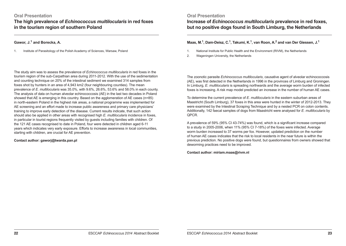## **Oral Presentation**

**The high prevalence of** *Echinococcus multilocularis* **in red foxes in the tourism region of southern Poland**

## **Gawor, J.1 and Borecka, A.**

1. Institute of Parasitology of the Polish Academy of Sciences, Warsaw, Poland

**Oral Presentation**

**Increase of** *Echinococcus multilocularis* **prevalence in red foxes, but no positive dogs found in South Limburg, the Netherlands**

## **Maas, M.1, Dam-Deisz, C.1, Takumi, K.1, van Roon, A.2 and van Der Giessen, J.<sup>1</sup>**

- 1. National Institute for Public Health and the Environment (RIVM), the Netherlands
- 2. Wageningen University, the Netherlands

The study aim was to assess the prevalence of *Echinococcus multilocularis* in red foxes in the tourism region of the sub-Carpathian area during 2011-2012. With the use of the sedimentation and counting technique on 20% of the intestinal sediment we examined 314 samples from foxes shot by hunters in an area of 4,943 km2 (four neighbouring counties). The mean prevalence of *E. multilocularis* was 35.0%, with 9.6%, 26.6%, 53.6% and 58.0% in each county. The analysis of data on human alveolar echinococcosis (AE) in the last two decades in Poland showed that AE is emerging in this country. Based on the agglomeration of AE cases (n=85) in north-eastern Poland in the highest risk areas, a national programme was implemented for AE screening and an effort made to increase public awareness and primary care physicians' training to improve early detection of the disease. Current results indicate, that such action should also be applied in other areas with recognised high *E. multilocularis* incidence in foxes, in particular in tourist regions frequently visited by guests including families with children. Of the 121 AE cases recognised to date in Poland, four were detected in children aged 6-11 years which indicates very early exposure. Efforts to increase awareness in local communities, starting with children, are crucial for AE prevention.

#### **Contact author: gaworj@twarda.pan.pl**

The zoonotic parasite *Echinococcus multilocularis*, causative agent of alveolar echinococcosis (AE), was first detected in the Netherlands in 1996 in the provinces of Limburg and Groningen. In Limburg, *E. multilocularis* is spreading northwards and the average worm burden of infected foxes is increasing. A risk map model predicted an increase in the number of human AE cases.

To determine the current prevalence of *E. multilocularis* in the eastern suburban areas of Maastricht (South Limburg), 37 foxes in this area were hunted in the winter of 2012-2013. They were examined by the Intestinal Scraping Technique and by a nested PCR on colon contents. Additionally, 142 faecal samples of dogs from Maastricht were analysed for *E. multilocularis* by QPCR.

A prevalence of 59% (95% CI 43-74%) was found, which is a significant increase compared to a study in 2005-2006, when 11% (95% CI 7-18%) of the foxes were infected. Average worm burden increased to 37 worms per fox. However, updated prediction on the number of human AE cases indicates that the risk to local residents in the near future is within the previous prediction. No positive dogs were found, but questionnaires from owners showed that deworming practices need to be improved.

**Contact author: miriam.maas@rivm.nl**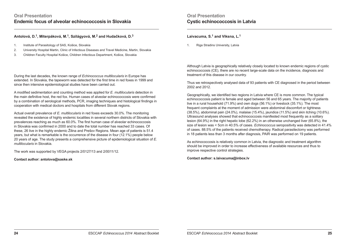## **Antolová, D.1, Miterpáková, M.1, Szilágyová, M.2 and Hudačková, D.<sup>3</sup>**

- 1. Institute of Parasitology of SAS, Košice, Slovakia
- 2. University Hospital Martin, Clinic of Infectious Diseases and Travel Medicine, Martin, Slovakia
- 3. Children Faculty Hospital Košice, Children Infectious Department, Košice, Slovakia

During the last decades, the known range of *Echinococcus multilocularis* in Europe has extended. In Slovakia, the tapeworm was detected for the first time in red foxes in 1999 and since then intensive epidemiological studies have been carried out.

A modified sedimentation and counting method was applied for *E. multilocularis* detection in the main definitive host, the red fox. Human cases of alveolar echinococcosis were confirmed by a combination of serological methods, PCR, imaging techniques and histological findings in cooperation with medical doctors and hospitals from different Slovak regions.

Actual overall prevalence of *E. multilocularis* in red foxes exceeds 30.0%. The monitoring revealed the existence of highly endemic localities in several northern districts of Slovakia with prevalences reaching as much as 60.0%. The first human case of alveolar echinococcosis in Slovakia was confirmed in 2000 and to date the total number has reached 33 cases. Of these, 26 live in the highly endemic Žilina and Prešov Regions. Mean age of patients is 51.4 years, but what is remarkable is the occurrence of the disease in four (12.1%) people below 20 years of age. The study presents a comprehensive picture of epidemiological situation of *E. multilocularis* in Slovakia.

The work was supported by VEGA projects 2/0127/13 and 2/0011/12.

#### **Contact author: antolova@saske.sk**

# **Oral Presentation Cystic echinococcosis in Latvia**

**Laivacuma, S.1 and Viksna, L.1**

1. Riga Stradins University, Latvia

Although Latvia is geographically relatively closely located to known endemic regions of cystic echinococcosis (CE), there are no recent large-scale data on the incidence, diagnosis and treatment of this disease in our country.

Thus we retrospectively analysed data of 93 patients with CE diagnosed in the period between 2002 and 2012.

Geographically, we identified two regions in Latvia where CE is more common. The typical echinococcosis patient is female and aged between 56 and 65 years. The majority of patients live in a rural household (71.9%) and own dogs (56.1%) or livestock (35.1%). The most frequent complaints at the moment of admission were abdominal discomfort or tightness (38.5%), abdominal pain (24.0%), malaise (15.4%), jaundice (11.5%) and skin itching (10.6%). Ultrasound analyses showed that echinococcosis manifested most frequently as a solitary lesion (64.9%) in the right hepatic lobe (62.2%) in an otherwise unchanged liver (65.8%), the size of lesion was < 5cm in 40.5% of cases. *Echinococcus* seropositivity was detected in 41.4% of cases. 88.5% of the patients received chemotherapy. Radical parasitectomy was performed in 18 patients less than 3 months after diagnosis, PAIR was performed on 19 patients.

As echinococcosis is relatively common in Latvia, the diagnostic and treatment algorithm should be improved in order to increase effectiveness of available resources and thus to improve respective control strategies.

**Contact author: s.laivacuma@inbox.lv**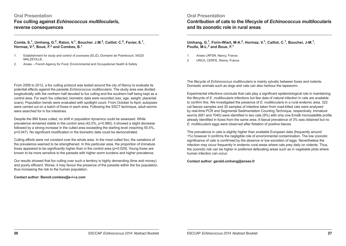# **Oral Presentation Fox culling against** *Echinococcus multilocularis***, reverse consequences**

**Comte, S.1, Umhang, G.2, Raton, V.1, Boucher. J.M.2, Caillot. C.2, Favier, S.1, Hormaz, V.2, Boué, F.2 and Combes, B.1**

- 1. Establishment for study and control of zoonoses (ELIZ), Domaine de Pixérécourt, 54220 MALZEVILLE,
- 2. Anses French Agency for Food, Environmental and Occupational Health & Safety

From 2008 to 2012, a fox culling protocol was tested around the city of Nancy to evaluate its potential effects against the parasite *Echinococcus multilocularis*. The study area was divided longitudinally with the northern half devoted to fox culling and the southern half being kept as a control area. For each fox collected, biometric data were recorded (sex, age, weight, placental scars). Population trends were evaluated with spotlight count. From October to April, autopsies were carried out on a batch of foxes in each area. Following the SSCT technique, adult worms were searched for in fox intestines.

Despite the 884 foxes culled, no shift in population dynamics could be assessed. While prevalence remained stable in the control area (42.0%, p=0.980), it showed a slight decrease followed by a strong increase in the culled area exceeding the starting level (reaching 55.4%, p=0.047). No significant modification in the biometric data could be demonstrated.

Culling efforts were not constant over the whole area. In the most culled foci, the variations of the prevalence seemed to be strengthened. In this particular area, the proportion of immature foxes appeared to be significantly higher than in the control area (p=0.029). Young foxes are known to be more sensitive to the parasite with higher worm burdens and higher prevalence.

Our results showed that fox culling over such a territory is highly demanding (time and money) and poorly efficient. Worse; it may favour the presence of the parasite within the fox population, thus increasing the risk to the human population.

#### **Contact author: Benoit.combes@e-l-i-z.com**

## **Oral Presentation**

**Contribution of cats to the lifecycle of** *Echinococcus multilocularis* **and its zoonotic role in rural areas**

**Umhang, G.1, Forin-Wiart, M-A.2, Hormaz, V.1, Caillot, C.1, Boucher, J-M.1, Poulle, M-L.2 and Boue, F.1**

- 1. Anses LRFSN, Nancy, France.
- 2. URCA, CERFE, Reims, France.

The lifecycle of *Echinococcus multilocularis* is mainly sylvatic between foxes and rodents. Domestic animals such as dogs and cats can also harbour the tapeworm.

Experimental infections conclude that cats play a significant epidemiological role in maintaining the lifecycle of *E. multilocularis* infections but few data of natural infection in cats are available to confirm this. We investigated the presence of *E. multilocularis* in a rural endemic area. 322 cat faeces samples and 30 samples of intestine taken from road-killed cats were analysed by real-time PCR and Segmental Sedimentation Counting Technique, respectively. Immature worms (681 and 7040) were identified in two cats (9%) with only one EmsB microsatellite profile already identified in foxes from the same area. A faecal prevalence of 3% was obtained but no *E. multilocularis* eggs were observed after flotation of positive faeces.

This prevalence in cats is slightly higher than available European data (frequently around 1%) however it confirms the negligible role of environmental contamination. The low zoonotic significance of cats is confirmed by the absence or low excretion of eggs. Nevertheless the infection may occur frequently in endemic rural areas where cats prey daily on rodents. Thus, the zoonotic risk can be higher in preferred defecating areas such as in vegetable plots where human infection can occur.

**Contact author: gerald.umhang@anses.fr**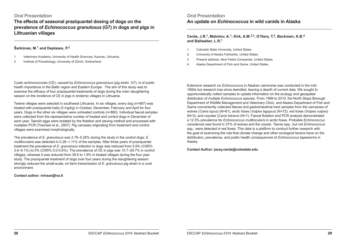# **Oral Presentation**

**The effects of seasonal praziquantel dosing of dogs on the prevalence of** *Echinococcus granulosus* **(G7) in dogs and pigs in Lithuanian villages Cerda, J.R.1, Malmlov, A.1, Kirk, A.M.2,3, O'Hara, T.2, Beckmen, K.B.<sup>4</sup>**

## **Šarkūnas, M.1 and Deplazes, P.2**

- 1. Veterinary Academy, University of Health Sciences, Kaunas, Lithuania,
- 2. Institute of Parasitology, University of Zürich, Switzerland

Cystic echinococcosis (CE), caused by *Echinococcus granulosus* (pig strain, G7), is of public health importance in the Baltic region and Eastern Europe. The aim of this study was to examine the efficacy of four praziquantel treatments of dogs during the main slaughtering season on the incidence of CE in pigs in endemic villages in Lithuania.

Twelve villages were selected in southwest Lithuania. In six villages, every dog (n=687) was treated with praziquantel baits (5 mg/kg) in October, December, February and April for four years. Dogs in the other six villages were untreated controls (n=860). Individual faecal samples were collected from the representative number of treated and control dogs in December of each year. Taeniid eggs were isolated by the flotation and sieving method and processed with multiplex PCR (Trachsel *et al*., 2007). Pig carcases originating from treatment and control villages were examined morphologically.

The prevalence of *E. granulosus* was 2.76–5.28% during the study in the control dogs; *E. multilocularis* was detected in 0.28–1.11% of the samples. After three years of praziquantel treatment the prevalence of *E. granulosus* infection in dogs was reduced from 5.9% (CI95% 3.6–9.1%) to 0% (CI95% 0.0-0.9%). The prevalence of CE in pigs was 10.7–29.7% in control villages, whereas it was reduced from 39.5 to 1.9% in treated villages during the four year study. The praziquantel treatment of dogs over four years during the slaughtering season strongly reduced the small-scale, on-farm transmission of *E. granulosus* pig strain in a rural environment.

#### **Contact author: minsar@lva.lt**

# **Oral Presentation An update on** *Echinococcus* **in wild canids in Alaska**

**and Ballweber, L.R.<sup>1</sup>**

- 1. Colorado State University, United States
- 2. University of Alaska Fairbanks, United States
- 3. Present address, New Fields Companies, United States
- 4. Alaska Department of Fish and Game, United States

Extensive research on *Echinococcus* in Alaskan carnivores was conducted in the mid-1900s but research has since dwindled, leaving a dearth of current data. We sought to opportunistically collect samples to update information on the ecology and geospatial distribution of multiple *Echinococcus* species. From 1999 to 2010, the North Slope Borough Department of Wildlife Management and Veterinary Clinic, and Alaska Department of Fish and Game conveniently collected faeces and gastrointestinal tract samples from the carcasses of wolves (*Canis lupus*) (N=81), arctic foxes (*Vulpes lagopus*) (N=72), red foxes (*Vulpes vulpes*) (N=3), and coyotes (*Canis latrans*) (N=1). Faecal flotation and PCR analysis demonstrated a 12.5% prevalence for *Echinococcus multilocularis* in arctic foxes. Probable *Echinococcus canadensis* was found in 37% of wolves and the coyote. *Taenia* spp., but not *Echinococcus* spp., were detected in red foxes. This data is a platform to conduct further research with the goal of examining the role that climate change and other ecological factors have on the distribution, prevalence, and public health consequences of *Echinococcus* tapeworms in Alaska.

**Contact Author: jacey.cerda@colostate.edu**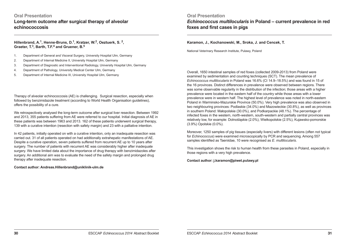# **Oral Presentation Long-term outcome after surgical therapy of alveolar echinococcosis**

**Hillenbrand, A.1, Henne-Bruns, D.1, Kratzer, W.2, Oeztuerk, S. 2, Graeter, T.3, Barth, T.F.4 and Gruener, B.5**

1. Department of General and Visceral Surgery, University Hospital Ulm, Germany

- 2. Department of Internal Medicine II, University Hospital Ulm, Germany
- 3. Department of Diagnostic and Interventional Radiology, University Hospital Ulm, Germany
- 4. Department of Pathology, University Medical Center Ulm, Germany
- 5. Department of Internal Medicine III, University Hospital Ulm, Germany

Therapy of alveolar echinococcosis (AE) is challenging. Surgical resection, especially when followed by benzimidazole treatment (according to World Health Organisation guidelines), offers the possibility of a cure.

We retrospectively analysed the long-term outcome after surgical liver resection. Between 1992 and 2013, 355 patients suffering from AE were referred to our hospital. Initial diagnosis of AE in these patients was between 1963 and 2013. 162 of these patients underwent surgical therapy, 139 with a curative intention (resection with safety margin) and 23 with a palliative intention.

In 42 patients, initially operated on with a curative intention, only an inadequate resection was carried out. 31 of all patients operated on had additionally extrahepatic manifestations of AE. Despite a curative operation, seven patients suffered from recurrent AE up to 10 years after surgery. The number of patients with recurrent AE was considerably higher after inadequate surgery. We have limited data about the importance of drug therapy with benzimidazoles after surgery. An additional aim was to evaluate the need of the safety margin and prolonged drug therapy after inadequate resection.

**Contact author: Andreas.Hillenbrand@uniklinik-ulm.de**

# **Oral Presentation** *Echinococcus multilocularis* **in Poland – current prevalence in red**

## **foxes and first cases in pigs**

#### **Karamon, J., Kochanowski, M., Sroka, J. and Cencek, T.**

National Veterinary Research Institute, Pulawy, Poland

Overall, 1650 intestinal samples of red foxes (collected 2009-2013) from Poland were examined by sedimentation and counting techniques (SCT). The mean prevalence of *Echinococcus multilocularis* in Poland was 16.6% (CI 14.9–18.5%) and was found in 15 of the 16 provinces. Distinct differences in prevalence were observed between regions. There was some observable regularity in the distribution of the infection; those areas with a higher prevalence were located in the eastern half of the country while those areas with a lower prevalence were in western half. The highest level of prevalence was noted in north-eastern Poland in Warminsko-Mazurskie Province (50.0%). Very high prevalence was also observed in two neighbouring provinces: Podlaskie (34.0%) and Mazowieckie (30.8%), as well as provinces in southern Poland: Małopolskie (30.0%), and Podkarpackie (48.1%). The percentage of infected foxes in the western, north-western, south-western and partially central provinces was relatively low, for example: Dolnośląskie (2.0%), Wielkopolskie (2.5%), Kujawsko-pomorskie (3.9%) Opolskie (0.0%).

Moreover, 1250 samples of pig tissues (especially livers) with different lesions (often not typical for *Echinococcus*) were examined microscopically by PCR and sequencing. Among 557 samples identified as Taeniidae, 10 were recognised as *E. multilocularis*.

This investigation shows the risk to human health from these parasites in Poland, especially in those regions with a very high prevalence.

**Contact author: j.karamon@piwet.pulawy.pl**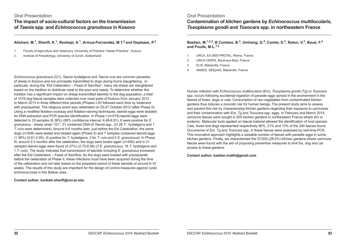**The impact of socio-cultural factors on the transmission of** *Taenia* **spp. and** *Echinococcus granulosus* **in Kosovo**

## **Alishani, M.1, Sherifi, K.1, Rexhepi, A.1, Armua-Fernandez, M.T.2 and Deplazes, P.2**

- 1. Faculty of Agriculture and Veterinary, University of Prishtina "Hasan Prishtina", Kosovo
- 2. Institute of Parasitology, University of Zurich, Switzerland

*Echinococcus granulosus* (G1), *Taenia hydatigena* and *Taenia ovis* are common parasites of sheep in Kosovo and are principally transmitted to dogs during home slaughtering. In particular, during the "Eid Celebration – Feast of Sacrifice", many old sheep are slaughtered based on the tradition to distribute meat to the poor and needy. To determine whether this tradition has a significant impact on sheep-transmitted taeniids to the dog population, a total of 1519 dog faecal samples were collected over most parts of Kosovo from January 2012 to March 2013 in three different time periods (Phases I-III) followed each time by treatment with praziquantel. The religious event was celebrated on 25-27 October 2012 (after Phase II). Using a modified flotation-ovassay and flotation-sieving techniques, taeniid eggs were isolated for DNA extraction and PCR species identification. In Phase I (n=519) taeniid eggs were detected in 33 samples (6.36%) (95% confidence interval, 4.48-8.91), 6 were positive for *E. granulosus* - sheep strain "G1", 31 contained DNA of *Taenia* spp., (in 26 *T. hydatigena* and 1 *T. ovis* were determined). Around 4-6 months later, just before the Eid Celebration, the same dogs (n=508) were tested and treated again (Phase II) and 7 samples contained taeniid eggs (1.38%) (0.61-2.95), (5 positive for *T. hydatigena*, 2 for *T. ovis* and 0 *E. granulosus*). In Phase III, around 2-3 months after the celebration, the dogs were tested again (n=492) and in 21 samples taeniid eggs were found (4.27%) (2.73-6.56) (3 *E. granulousus*, 16 *T. hydatigena* and 1 *T. ovis*). The study indicates that transmission of taeniids including *E. granulosus* increased after the Eid Celebration – Feast of Sacrifice. As the dogs were treated with praziquantel before the celebration at Phase II, these infections must have been acquired during the time of the celebration and not later based on the prepatent period of these taeniids of around 6-10 weeks. The results of this study are important for the design of control measures against cystic echinococcosis in this Balkan area.

#### **Contact author: kurtesh.sherifi@uni-pr.edu**

# **Oral Presentation**

**Contamination of kitchen gardens by** *Echinococcus multilocularis***,**  *Toxoplasma gondii* **and** *Toxocara* **spp. in northeastern France**

**Bastien, M.1,2,3, B Combes, B.3, Umhang, G.4, Comte, S.3, Raton, V.3, Boué, F.4 and Poulle, M-L.1,2**

- 1. URCA, EA 3800 PROTAL, Reims, France
- 2. URCA CERFE, Boult-aux-Bois, France
- 3. ELIZ, Malzéville, France
- 4. ANSES, SEEpiAS, Malzéville, France

Human infection with *Echinococcus multilocularis* (Em), *Toxoplasma gondii* (Tg) or *Toxocara* spp. occurs following accidental ingestion of parasite eggs spread in the environment in the faeces of foxes, dogs or cats. Consumption of raw vegetables from contaminated kitchen gardens thus induces a zoonotic risk for human beings. The present study aims to assess and prevent this risk by characterising kitchen gardens regarding their exposure to carnivores and their contamination with *Em, Tg* and *Toxocara* spp. eggs. In February and March 2014, carnivore faeces were sought in 200 kitchen gardens in northeastern France where *Em* is endemic. Molecular tools applied on faecal material allowed the identification of host species. Cats, foxes and dogs represented respectively 66%, 21% and 13% of the 240 faeces found. Occurrence of *Em, Tg* and *Toxocara* spp. in these faeces were assessed by real-time PCR. This innovative approach highlights a sizeable number of faeces with parasite eggs in some kitchen gardens. Finally, we characterised the 57/200 (28.5%) kitchen gardens where carnivore faeces were found with the aim of proposing preventive measures to limit fox, dog and cat access to these gardens.

#### **Contact author: bastien.matth@gmail.com**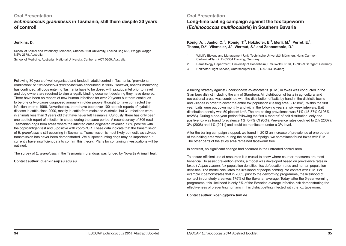## **Oral Presentation**

*Echinococcus granulosus* **in Tasmania, still there despite 30 years of control!**

#### **Jenkins, D.**

School of Animal and Veterinary Sciences, Charles Sturt University, Locked Bag 588, Wagga Wagga NSW 2678, Australia

School of Medicine, Australian National University, Canberra, ACT 0200, Australia

Following 30 years of well-organised and funded hydatid control in Tasmania, "provisional eradication" of *Echinococcus granulosus* was announced in 1996. However, abattoir monitoring has continued, all dogs entering Tasmania have to be dosed with praziquantel prior to travel and dog owners are required to sign a legally binding document declaring they have done so. There have been no reports of new human infections for over 20 years but there continues to be one or two cases diagnosed annually in older people, thought to have contracted the infection prior to 1996. Nevertheless, there have been over 100 abattoir reports of hydatid disease in cattle since 2000, mostly in cattle from mainland Australia, but 31 infections were in animals less than 3 years old that have never left Tasmania. Curiously, there has only been one abattoir report of infection in sheep during the same period. A recent survey of 306 rural Tasmanian dogs from areas where the infected cattle originated revealed 7.8% positive with the coproantigen test and 3 positive with coproPCR. These data indicate that the transmission of *E. granulosus* is still occurring in Tasmania. Transmission is most likely domestic as sylvatic transmission has never been demonstrated. We suspect hunting dogs may be important but currently have insufficient data to confirm this theory. Plans for continuing investigations will be outlined.

The survey of *E. granulosus* in the Tasmanian rural dogs was funded by Novartis Animal Health

**Contact author: djjenkins@csu.edu.au**

# **Oral Presentation Long-time baiting campaign against the fox tapeworm (***Echinococcus multilocularis***) in Southern Bavaria**

## **König, A.1, Janko, C.1, Romig, T.2, Holzhofer, E.3, Merli, M.2, Perret, E.1, Thoma, D.2, Vilsmeier, J.1, Wermut, S.1 and Zannantonio, D.1**

- 1. Wildlife Biology and Management Unit, Technische Universität München, Hans-Carl-von Carlowitz-Platz 2, D-85354 Freising, Germany
- 2 . Parasitology Department, University of Hohenheim, Emil-Wolff-Str. 34, D-70599 Stuttgart, Germany
- 3. Holzhofer Flight Service, Unterschüpfer Str. 9, D-97944 Boxberg

A baiting strategy against *Echinococcus multilocularis* (E.M.) in foxes was conducted in the Starnberg district including the city of Starnberg. Air distribution of baits in agricultural and recreational areas was combined with the distribution of baits by hand in the district's towns and villages in order to cover the entire fox population (Baiting area:  $213 \text{ km}^2$ ). Within the first year, baits were put down monthly and within the following years at six week intervals. Bait distribution density was 50 pieces/ $km^2$ . The pre-baiting prevalence was 51% (45-57% CI 95%, n=286). During a one-year period following the first 4 months' of bait distribution, only one positive fox was found (prevalence 1%; 0-7% CI 95%). Prevalence rates declined to 2% (2007), 3% (2008) and 1% (2011) and could be manifested under a 3% level.

After the baiting campaign stopped, we found in 2012 an increase of prevalence at one border of the baiting area where, during the baiting campaign, we sometimes found foxes with E.M. The other parts of the study area remained tapeworm free.

In contrast, no significant change had occurred in the untreated control area.

To ensure efficient use of resources it is crucial to know where counter-measures are most beneficial. To assist prevention efforts, a model was developed based on prevalence rates in foxes (*Vulpes vulpes*), fox population densities, fox defaecation rates and human population densities. The model calculates the likelihood of people coming into contact with E.M. For example it demonstrates that in 2005, prior to the deworming programme, the likelihood of contact in our study area was 175% of the Bavarian average. Today, after the 5-year worming programme, this likelihood is only 5% of the Bavarian average infection risk demonstrating the effectiveness of preventing humans in this district getting infected with the fox tapeworm.

**Contact author: koenig@wzw.tum.de**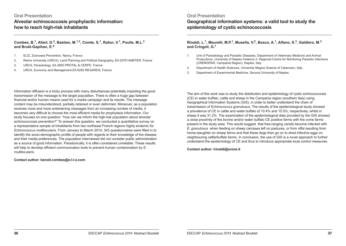## **Oral Presentation**

**Alveolar echinococcosis prophylactic information: how to reach high-risk inhabitants**

## **Combes, B.1, Allart, D.2, Bastien, M.1,3, Comte, S.1, Raton, V.1, Poulle, M.L.<sup>3</sup> and Brulé-Gapihan, E.<sup>4</sup>**

- 1. ELIZ, Zoonoses Prevention, Nancy, France
- 2. Reims University (URCA), Land Planning and Political Geography, EA 2076 HABITER, France
- 3. URCA, Parasitology, EA 3800 PROTAL & CERFE, France
- 4. URCA, Economy and Management EA 6292 REGARDS, France

## **Oral Presentation**

# **Geographical information systems: a valid tool to study the epidemiology of cystic echinococcosis**

## **Rinaldi, L.1, Maurelli, M.P.1, Musella, V.2, Bosco, A.1, Alfano, S.3, Galdiero, M.<sup>3</sup> and Cringoli, G.1**

- 1. Unit of Parasitology and Parasitic Diseases, Department of Veterinary Medicine and Animal Productions, University of Naples Federico II, Regional Centre for Monitoring Parasitic Infections (CREMOPAR, Campania Region), Naples, Italy.
- 2. Department of Health Sciences, University Magna Graecia of Catanzaro, Italy.
- 3. Department of Experimental Medicine, Second University of Naples.

Information diffusion is a tricky process with many disturbances potentially impeding the good transmission of the message to the target population. There is often a huge gap between financial and/or human means used for a media campaign and its results. The message content may be misunderstood, partially retained or even deformed. Moreover, as a population receives more and more entertaining messages from an increasing number of media, it becomes very difficult to choose the most efficient media for prophylaxis information. Our study focuses on one question: "how can we inform the high-risk population about alveolar echinococcosis prevention?" To answer this question, we conducted a quantitative survey on a representative sample of inhabitants from two northeast French regions highly endemic for *Echinococcus multilocularis*. From January to March 2014, 343 questionnaires were filled in to identify the socio-demographic profile of people with regards to their knowledge of the disease and their media preferences. The population interviewed did not consider public administration as a source of good information. Paradoxically, it is often considered unreliable. These results will help to develop efficient communication tools to prevent human contamination by *E. multilocularis*.

**Contact author: benoit.combes@e-l-i-z.com**

The aim of this work was to study the distribution and epidemiology of cystic echinococcosis (CE) in water buffalo, cattle and sheep in the Campania region (southern Italy) using Geographical Information Systems (GIS), in order to better understand the chain of transmission of *Echinococcus granulosus*. The results of the epidemiological study showed a prevalence of CE in cattle and water buffalo of 10.4% and 10.5%, respectively, whilst in sheep it was 31.2%. The examination of the epidemiological data provided by the GIS showed a close proximity of the bovine and/or water buffalo CE positive farms with the ovine farms present in the study area. This would suggest that free-ranging canids become infected with *E. granulosus* when feeding on sheep carcases left on pastures, or from offal resulting from home-slaughter on sheep farms and that these dogs then go on to shed infective eggs on neighbouring cattle/buffalo farms. In conclusion, the use of GIS is a novel approach to further understand the epidemiology of CE and thus to introduce appropriate local control measures.

**Contact author: lrinaldi@unina.it**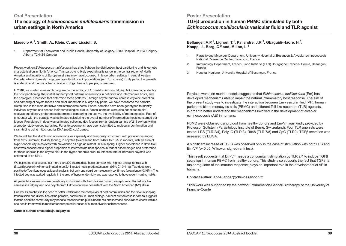# **Oral Presentation The ecology of** *Echinococcus multilocularis* **transmission in urban settings in North America**

#### **Massolo A.1, Smith, A., Klein, C. and Liccioli, S.**

1. Department of Ecosystem and Public Health, University of Calgary, 3280 Hospital Dr. NW Calgary, Alberta T2N4Z6 Canada

Recent work on *Echinococcus multilocularis* has shed light on the distribution, host partitioning and its genetic characterisation in North America. This parasite is likely expanding its range in the central region of North America and invasions of European strains may have occurred. In large urban settings in central western Canada, where domestic dogs overlap with wild canid populations (e.g. fox, coyote) in city parks, the parasite is endemic and the risk of transmission to dogs, hence to people, is unknown.

In 2010, we started a research program on the ecology of *E. multilocularis* in Calgary, AB, Canada, to identify the host partitioning, the spatial and temporal patterns of infections in definitive and intermediate hosts, and the ecological processes that determine these patterns. Through coyote and fox carcase citywide collection and sampling of coyote faeces and small mammals in 5 large city parks, we have monitored the parasite distribution in the main definitive and intermediate hosts. Faecal samples have been genotyped to identify individual coyotes and assess their parasitological status. Faecal samples were also submitted to diet analysis and dietary preferences determined comparing the use vs. the availability of rodent species. Rate of encounter with the parasite was estimated calculating the overall number of intermediate hosts consumed per faeces. Prevalence in dogs was estimated collecting dog faeces from a random sample of 218 owners within a broader study on dog parasites. Parasite specimens have been submitted to molecular confirmation and strain-typing using mitochondrial DNA (nad2, cob) genes.

We found that the distribution of infections was spatially and temporally structured, with prevalence ranging from 10% (summer) to 43% (spring) in coyotes (overall) and from 0.46% to 3.3% in rodents, with an area of hyper-endemicity in coyotes with prevalence as high as almost 90% in spring. Higher prevalence in definitive host was associated to higher proportion of intermediate host species in rodent assemblages and preference for those species in the coyote diet. In the hyper-endemic area, re-infection rate of individual coyotes was estimated to be 57%.

We estimated that coyotes eat more than 300 intermediate hosts per year, with highest encounter rate with *E. multilocularis* in winter estimated to be 2.4 infected hosts predated/season (95% CI: 0.4 - 8). Two dogs were positive to Taeniidae eggs at faecal analysis, but only one could be molecularly confirmed (prevalence=0.46%). The infected dog was walked regularly in the area of hyper-endemicity and was reported to have rodent hunting habits.

All parasite specimens were genetically consistent with the European strain, except one collected in a fox carcase in Calgary and one coyote from Edmonton were consistent with the North American (N2) strain.

Our results emphasise the need to better understand the complexity of host communities and their role in shaping transmission and distribution of the parasite, particularly in urban settings. A recent human case in Alberta suggests that the scientific community may need to reconsider the public health risk and increase surveillance efforts within a one-health framework to monitor for new potential cases of human alveolar echinococcosis

**Contact author: amassolo@ucalgary.ca**

## **Poster Presentation TGFβ production in human PBMC stimulated by both**  *Echinococcus multilocularis* **vesicular fluid and TLR agonist**

## **Bellanger, A.P.1, Lignon, T.1, Pallandre, J.R.2, Gbaguidi-Haore, H.3, Knapp, J., Borg, C.2 and, Millon, L.<sup>1</sup>**

- 1. Parasitology-Mycology Department, University Hospital of Besançon & Alveolar echinococcosis National Reference Center, Besançon, France
- 2. Immunology Department, French Blood Institute (EFS) Bourgogne Franche- Comté, Besançon, France
- 3. Hospital Hygiene, University Hospital of Besançon, France

Previous works on murine models suggested that *Echinococcus multilocularis* (Em) has developed mechanisms able to impair the natural inflammatory host response. The aim of the present study was to investigate the interaction between Em vesicular fluid (VF), human peripheric blood monocytes cells (PBMC) and different Toll-like receptors (TLR) agonists, in order to better understand the mechanisms involved in the development of alveolar echinococcosis (AE) in humans.

PBMC were obtained using blood from healthy donors and Em-VF was kindly provided by Professor Gottstein (Parasitology Institute of Berne, Switzerland). Four TLR agonists were tested: LPS (TLR 2/4), Poly IC (TLR 3), R848 (TLR 7/8) and CpG (TLR9). TGFβ secretion was assessed by ELISA.

A significant increase of TGFβ was observed only in the case of stimulation with both LPS and Em-VF (p<0.05, Wilcoxon signed-rank test).

This result suggests that Em-VF needs a concomitant stimulation by TLR 2/4 to induce TGFβ secretion in human PBMC from healthy donors. This study also supports the fact that TGFβ, a major regulator of the immune response, plays an important role in the development of AE in humans.

#### **Contact author: apbellanger@chu-besancon.fr**

\*This work was supported by the network Inflammation-Cancer-Biotherapy of the University of Franche-Comté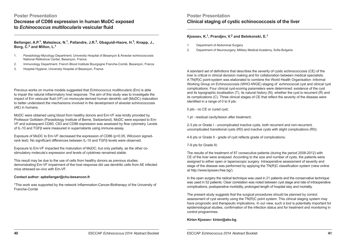# **Poster Presentation Decrease of CD86 expression in human MoDC exposed to** *Echinococcus multilocularis* **vesicular fluid**

## **Bellanger, A.P.1, Malezieux, N.1, Pallandre, J.R.2, Gbaguidi-Haore, H.3, Knapp, J., Borg, C.2 and Millon, L.<sup>1</sup>**

- 1. Parasitology-Mycology Department, University Hospital of Besançon & Alveolar echinococcosis National Reference Center, Besançon, France
- 2. Immunology Department, French Blood Institute Bourgogne Franche-Comté, Besançon, France
- 3. Hospital Hygiene, University Hospital of Besançon, France

Previous works on murine models suggested that *Echinococcus multilocularis* (Em) is able to impair the natural inflammatory host response. The aim of this study was to investigate the impact of Em vesicular fluid (VF) on monocyte-derived human dendritic cell (MoDC) maturation to better understand the mechanisms involved in the development of alveolar echinococcosis (AE) in humans.

MoDC were obtained using blood from healthy donors and Em-VF was kindly provided by Professor Gottstein (Parasitology Institute of Berne, Switzerland). MoDC were exposed to Em-VF and subsequent CD80, C83 and CD86 expression was assessed by flow cytometry. Levels of IL-10 and TGFβ were measured in supernatants using immune-assay.

Exposure of MoDC to Em-VF decreased the expression of CD86 (p<0.05, Wilcoxon signedrank test). No significant differences between IL-10 and TGFβ levels were observed.

Exposure to Em-VF impacted the maturation of MoDC, but only partially, as the other costimulatory molecule's expression and levels of cytokines remained stable.

This result may be due to the use of cells from healthy donors as previous studies demonstrating Em-VF impairment of the host response did use dendritic cells from AE infected mice stressed ex-vivo with Em-VF.

#### **Contact author: apbellanger@chu-besancon.fr**

\*This work was supported by the network Inflammation-Cancer-Biotherapy of the University of Franche-Comté

# **Poster Presentation Clinical staging of cystic echinococcosis of the liver**

## **Kjossev, K.1, Prandjev, V.2 and Belokonski, E.1**

- 1. Department of Abdominal Surgery
- 2. Department of Neurosurgery, Military Medical Academy, Sofia Bulgaria

A standard set of definitions that describes the severity of cystic echinococcosis (CE) of the liver is critical in clinical decision making and for collaboration between medical specialists. A TN(R)C point-system was elaborated to combine the World Health Organisation -Informal Working Group on Echinococcosis (WHO-IWGE) staging of echinococcal cyst and clinical cyst complications. Four clinical cyst-scoring parameters were determined: existence of the cyst and its topographic localisation (T), its natural history (N), whether the cyst is recurrent (R) and its complications (C). Three clinical stages of CE that reflect the severity of the disease were identified in a range of 0 to 9 pts:

0 pts - no CE or cured cyst;

1 pt - residual cavity/lesion after treatment;

2-3 pts or Grade I - uncomplicated inactive cysts, both recurrent and non-recurrent, uncomplicated transitional cysts (R0) and inactive cysts with slight complications (R0);

4-6 pts or Grade II - grade of cyst reflects grade of complications;

7-9 pts for Grade III;

The results of the treatment of 87 consecutive patients (during the period 2008-2012) with CE of the liver were analysed. According to the size and number of cysts, the patients were assigned to either open or laparoscopic surgery. Intraoperative assessment of severity and stage of the disease was performed by applying the TN(R)C classification system (view online at http://www.kjossev.free.bg/).

In the open surgery the radical technique was used in 21 patients and the conservative technique was used in 52 patients. Clear correlation was noted between cyst stage and rate of intraoperative complications, postoperative morbidity, prolonged length of hospital stay and mortality.

The present study suggests that the surgical procedures should be planned by correct assessment of cyst severity using the TN(R)C point system. This clinical staging system may have prognostic and therapeutic implications. In our view, such a tool is potentially important for epidemiological studies, confirmation of the infection status and for treatment and monitoring in control programmes.

#### **Kirien Kjossev: kirien@abv.bg**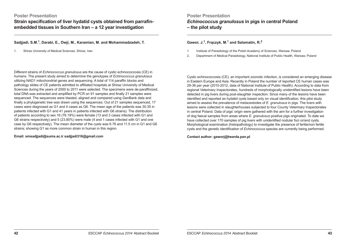**Strain specification of liver hydatid cysts obtained from parrafinembedded tissues in Southern Iran – a 12 year investigation**

## **Sadjjadi, S.M.1, Darabi, E., Owji, M., Karamian, M. and Mohammadzadeh, T.**

1. Shiraz University of Medical Sciences, Shiraz, Iran.

**Poster Presentation**

*Echinococcus granulosus* **in pigs in central Poland** 

**– the pilot study**

## **Gawor, J.1, Frączyk, M.1 and Salamatin, R.<sup>2</sup>**

- 1. Institute of Parasitology of the Polish Academy of Sciences, Warsaw, Poland
- 2. Department of Medical Parasitology, National Institute of Public Health, Warsaw, Poland

Different strains of *Echinococcus granulosus* are the cause of cystic echinococcosis (CE) in humans. The present study aimed to determine the genotypes of *Echinococcus granulosus* utilizing NAD1 mitochondrial genes and sequencing. A total of 114 paraffin blocks and pathology slides of CE patients admitted to affiliated hospitals at Shiraz University of Medical Sciences during the years of 2000 to 2011 were selected. The specimens were de-paraffinized, total DNA was extracted and amplified by PCR on 91 samples and finally 21 samples were sequenced. The sequences were blasted, aligned and compared using GenBank data and finally a phylogenetic tree was drawn using the sequences. Out of 21 samples sequenced, 17 cases were diagnosed as G1 and 4 cases as G6. The mean age of the patients was 30.35 in patients infected with G1 and 41 years in patients infected with G6 strains). The distribution of patients according to sex 16 (76.19%) were female (13 and 3 cases infected with G1 and G6 strains respectively) and 5 (23.80%) were male (4 and 1 cases infected with G1 and one case by G6 respectively). The mean diameter of the cysts was 6.76 and 11.5 cm in G1 and G6 strains; showing G1 as more common strain in human in this region.

#### **Email: smsadjjadi@sums.ac.ir sadjjadi316@gmail.com**

Cystic echinococcosis (CE), an important zoonotic infection, is considered an emerging disease in Eastern Europe and Asia. Recently in Poland the number of reported CE human cases was 29-36 per year (2010-2012, data of National Institute of Public Health). According to data from regional Veterinary Inspectorates, hundreds of morphologically unidentified lesions have been detected in pig livers during post-slaughter inspection. Since many of the lesions have been identified and reported as hydatid cysts based only on visual identification, this pilot study aimed to assess the prevalence of metacestodes of *E. granulosus* in pigs. The livers with lesions were collected in slaughterhouses subjected to four County Veterinary Inspectorates in central Poland. Data of pigs' origin were gathered with the aim for a further investigation of dog faecal samples from areas where *E. granulosus* positive pigs originated. To date we have collected over 170 samples of pig livers with unidentified nodular foci or/and cysts. Morphological examination (histopathology) to investigate the presence of fertile/non fertile cysts and the genetic identification of *Echinococcus* species are currently being performed.

**Contact author: gaworj@twarda.pan.pl**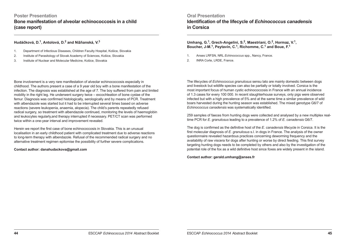# **Poster Presentation Bone manifestation of alveolar echinococcosis in a child (case report)**

## **Hudáčková, D.1, Antolová, D.2 and Nižňanská, V.<sup>3</sup>**

- 1. Department of Infectious Diseases, Children Faculty Hospital, Košice, Slovakia
- 2. Institute of Parasitology of Slovak Academy of Sciences, Košice, Slovakia
- 3. Institute of Nuclear and Molecular Medicine, Košice, Slovakia

# **Oral Presentation Identification of the lifecycle of** *Echinococcus canadensis* **in Corsica**

## **Umhang, G.1, Grech-Angelini, S.2, Maestriani, O.2, Hormaz, V.1, Boucher, J-M.1, Peytavin, C.1, Richomme, C.1 and Boue, F.1**

- 1. Anses LRFSN, NRL *Echinococcus* spp., Nancy, France.
- 2. INRA Corte, LRDE, France.

Bone involvement is a very rare manifestation of alveolar echinococcosis especially in childhood. The authors present a case of a 9 year old boy with a bone manifestation of the infection. The diagnosis was established at the age of 7. The boy suffered from pain and limited mobility in the right leg. He underwent surgery twice – excochleation of bone cystae of the femur. Diagnosis was confirmed histologically, serologically and by means of PCR. Treatment with albendazole was started but it had to be interrupted several times based on adverse reactions (severe leukopenia, anaemia, alopecia). The child's parents repeatedly refused radical surgery, so treatment with albendazole continued, monitoring the levels of haemoglobin and leukocytes regularly,and therapy interrupted if necessary. PET/CT scan was performed twice within a one-year interval and improvement revealed.

Herein we report the first case of bone echinococcosis in Slovakia. This is an unusual localisation in an early childhood patient with complicated treatment due to adverse reactions to long-term therapy with albendazole. Refusal of the recommended radical surgery and no alternative treatment regimen epitomise the possibility of further severe complications.

**Contact author: danahudackova@gmail.com**

The lifecycles of *Echinococcus granulosus* sensu lato are mainly domestic between dogs and livestock but wildlife species can also be partially or totally involved. Corsica is the most important focus of human cystic echinococcosis in France with an annual incidence of 1.3 cases for every 100 000. In recent slaughterhouse surveys, only pigs were observed infected but with a high prevalence of 5% and at the same time a similar prevalence of wild boars harvested during the hunting season was established. The mixed genotype G6/7 of *Echinococcus canadensis* was systematically identified.

259 samples of faeces from hunting dogs were collected and analysed by a new multiplex realtime PCR for *E. granulosus* leading to a prevalence of 1.2% of *E. canadensis* G6/7.

The dog is confirmed as the definitive host of the *E. canadensis* lifecycle in Corsica. It is the first molecular diagnosis of *E. granulosus* s.l. in dogs in France. The analysis of the owner questionnaire revealed hazardous practices concerning deworming frequency and the availability of raw viscera for dogs after hunting or worse by direct feeding. This first survey targeting hunting dogs needs to be completed by others and also by the investigation of the potential role of the fox as a wild definitive host since foxes are widely present in the island.

**Contact author: gerald.umhang@anses.fr**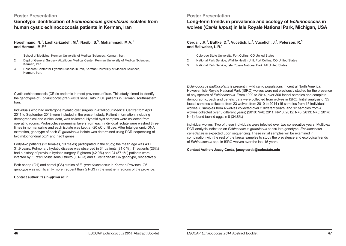**Genotype identification of** *Echinococcus granulosus* **isolates from human cystic echinococcosis patients in Kerman, Iran**

## **Hooshmand, N.1, Lashkarizadeh, M.2, Nasibi, S.3, Mohammadi, M.A.<sup>1</sup> and Harandi, M.F.<sup>3</sup>**

- 1. School of Medicine, Kerman University of Medical Sciences, Kerman, Iran.
- 2. Dept of General Surgery, Afzalipour Medical Center, Kerman University of Medical Sciences, Kerman, Iran.
- 3. Research Center for Hydatid Disease in Iran, Kerman University of Medical Sciences, Kerman, Iran.

Cystic echinococcosis (CE) is endemic in most provinces of Iran. This study aimed to identify the genotypes of *Echinococcus granulosus* sensu lato in CE patients in Kerman, southeastern Iran.

Individuals who had undergone hydatid cyst surgery in Afzalipour Medical Centre from April 2011 to September 2013 were included in the present study. Patient information, including demographical and clinical data, was collected. Hydatid cyst samples were collected from operating rooms. Protoscoleces/germinal layers from each individual isolate were washed three times in normal saline and each isolate was kept at -20 oC until use. After total genomic DNA extraction, genotype of each *E. granulosus* isolate was determined using PCR-sequencing of two mitochondrial cox1 and nad1 genes.

Forty-two patients (23 females, 19 males) participated in the study; the mean age was 43  $\pm$ 31.9 years. Pulmonary hydatid disease was observed in 34 patients (81.0 %), 11 patients (26%) had a history of previous hydatid surgery. Eighteen (42.9%) and 24 (57.1%) patients were infected by *E. granulosus* sensu stricto (G1-G3) and *E. canadensis* G6 genotype, respectively.

Both sheep (G1) and camel (G6) strains of *E. granulosus* occur in Kerman Province. G6 genotype was significantly more frequent than G1-G3 in the southern regions of the province.

#### **Contact author: fasihi@kmu.ac.ir**

## **Poster Presentation**

**Long-term trends in prevalence and ecology of** *Echinococcus* **in wolves (***Canis lupus***) in Isle Royale National Park, Michigan, USA**

## **Cerda, J.R.1, Buttke, D.2, Vucetich, L.3, Vucetich, J.3, Peterson, R.3 and Ballweber, L.R.<sup>1</sup>**

- 1. Colorado State University, Fort Collins, CO United States
- 2. National Park Service, Wildlife Health Unit, Fort Collins, CO United States
- 3. National Park Service, Isle Royale National Park, MI United States

*Echinococcus multilocularis* is present in wild canid populations in central North America. However, Isle Royale National Park (ISRO) wolves were not previously studied for the presence of any species of *Echinococcus*. From 1999 to 2014, over 300 faecal samples and complete demographic, pack and genetic data were collected from wolves in ISRO. Initial analysis of 35 faecal samples collected from 23 wolves from 2010 to 2014 (15 samples from 15 individual wolves; 8 samples from 4 wolves collected over 2 different years; and 12 samples from 4 wolves collected over 3 different years) (2010: N=8; 2011: N=13; 2012: N=8; 2013: N=5; 2014: N=1) found taeniid eggs in 8 (34.8%)

individual wolves. Two of these individuals were infected over two consecutive years. Multiplex PCR analysis indicated an *Echinococcus granulosus* sensu lato genotype. *Echinococcus canadensis* is expected upon sequencing. These initial samples will be examined in combination with the rest of the faecal samples to study the prevalence and ecological trends of *Echinococcus* spp. in ISRO wolves over the last 15 years.

**Contact Author: Jacey Cerda, jacey.cerda@colostate.edu**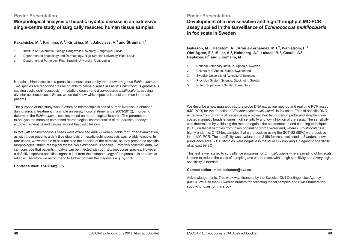**Morphological analysis of hepatic hydatid disease in an extensive single-centre study of surgically resected human tissue samples**

## **Pakalnišķe, M.1, Krūmiņa, A.2, Kirjušina, M.1, Jakovļevs, A.3 and Štrumfa, I.<sup>3</sup>**

- 1. Institute of Systematic Biology, Daugavpils University, Daugavpils, Latvia
- 2. Department of Infectology and Dermatology, Riga Stradiņš University, Riga, Latvia
- 3. Department of Pathology, Riga Stradiņš University, Riga, Latvia

Hepatic echinococcosis is a parasitic zoonosis caused by the tapeworm genus *Echinococcus*. Two species are recognised as being able to cause disease in Latvia: *Echinococcus granulosus* causing cystic echinococcosis (= hydatid disease) and *Echinococcus multilocularis*, causing alveolar echinococcosis. So far, we do not know which species is most common in human patients.

The purpose of this study was to examine microscopic slides of human liver tissue obtained during surgical treatment in a single university hospital (time range 2003-2012), in order to determine the *Echinococcus* species based on morphological features. The parameters to analyse the samples comprised morphological characteristics of the parasite endocyst, ectocyst, adventitia and tissues around the cystic lesions.

In total, 48 echinococcoosis cases were examined and 33 were suitable for further examination, as with those patients a definitive diagnosis of hepatic echinococcosis was reliably feasible. In rare cases, we were able to assume also the species of the parasite, as they presented specific morphological structures typical for the two *Echinococcus* species. From this collected data, we can conclude that patients in Latvia can be infected with both *Echinococcus* species. However, a definitive species-specific diagnosis just from the histopathology of the parasite is not always reliable. Therefore we recommend to further confirm the diagnosis e.g. by PCR.

## **Contact author: sb40014@lu.lv**

## **Poster Presentation**

**Development of a new sensitive and high throughput MC-PCR assay applied in the surveillance of** *Echinococcus multilocularis* **in fox scats in Sweden**

#### **Isaksson, M.1, Hagstöm, A.1, Armua-Fernandez, M.T.2, Wahlström, H.1, Olof Ågren, E.1, Miller, A.3, Holmberg, A.4, Lukacs, M.4, Casulli, A.5, Deplazes, P.2 and Juremalm, M.<sup>1</sup>**

- 1. National Veterinary Institute, Uppsala, Sweden
- 2. University of Zurich, Zurich, Switzerland
- 3. Swedish University of Agricultural Sciences
- 4. Precision System Science, Stockholm, Sweden
- 5. Istituto Superiore di Sanità, Rome, Italy

We describe a new magnetic capture probe DNA extraction method and real time PCR assay (MC-PCR) for the detection of *Echinococcus multilocularis* in fox scats. Taeniid-specific DNA extraction from 3 grams of faeces using a biotinylated hybridization probe and streptavidinecoated magnetic beads ensures high sensitivity and low inhibition of the assay. The sensitivity was determined by validating the method against the sedimentation and counting technique (SCT) on faecal samples from foxes originating from Switzerland, where *E. multilocularis* is highly endemic. Of 93 fox samples that were positive using the SCT, 82 (88%) were positive in the MC-PCR. The specificity was evaluated on 2158 fox scats collected in Sweden, a low prevalence area. 2156 samples were negative in the MC-PCR implying a diagnostic specificity of at least 99.9%.

This test is well suited to surveillance programs for *E. multilocularis* where sampling of fox scats is done to reduce the costs of sampling and where a test with a high sensitivity and a very high specificity is needed.

#### **Contact author: mats.isaksson@sva.se**

Acknowledgements: This work was financed by the Swedish Civil Contingencies Agency (MSB). We also thank Swedish hunters for collecting faecal samples and Swiss hunters for supplying foxes for this study.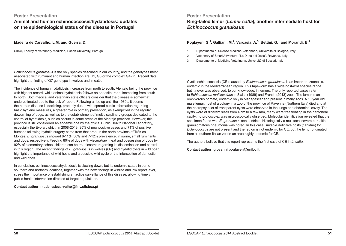**Animal and human echinococcosis/hydatidosis: updates on the epidemiological status of the disease in Portugal**

## **Madeira de Carvalho, L.M. and Guerra, D.**

CIISA, Faculty of Veterinary Medicine, Lisbon University, Portugal.

*Echinococcus granulosus* is the only species described in our country, and the genotypes most associated with ruminant and human infection are G1, G3 or the complex G1-G3. Recent data highlight the finding of G7 genotype in wolves and in cattle.

The incidence of human hydatidosis increases from north to south, Alentejo being the province with highest record, while animal hydatidosis follows an opposite trend, increasing from south to north. Both medical and veterinary state officers consider that the disease is somewhat underestimated due to the lack of report. Following a rise up until the 1980s, it seems the human disease is declining, probably due to widespread public information regarding basic hygiene measures, a greater role in primary prevention, as exemplified in the regular deworming of dogs, as well as to the establishment of multidisciplinary groups dedicated to the control of hydatidosis, such as occurs in some areas of the Alentejo province. However, this province is still considered an endemic one by the official Public Health National Laboratory, especially the Évora district. In 2008-2013, 35% of new positive cases and 71% of positive humans following hydatid surgery came from that area. In the north province of Trás-os-Montes, *E. granulosus* showed 8-11%, 30% and 7-12% prevalence, in swine, small ruminants and dogs, respectively. Feeding 80% of dogs with viscera/raw meat and possession of dogs by 92% of elementary school children can be troublesome regarding its dissemination and control in this region. The recent findings of *E. granulosus* in wolves (G7) and hydatid cysts in wild boar highlight the importance of wild hosts and a possible wild cycle or the intersection of domestic and wild ones.

In conclusion, echinococcosis/hydatidosis is slowing down, but its endemic status in some southern and northern locations, together with the new findings in wildlife and low report level, stress the importance of establishing an active surveillance of this disease, allowing timely public-health intervention directed at target populations.

**Contact author: madeiradecarvalho@fmv.ulisboa.pt**

**Poster Presentation Ring-tailed lemur (***Lemur catta***), another intermediate host for**  *Echinococcus granulosus*

## **Poglayen, G.1, Galliani, M.2, Varcasia, A.3, Bettini, G.1 and Morandi, B.<sup>1</sup>**

- 1. Dipartimento di Scienze Mediche Veterinarie, Università di Bologna, Italy
- 2. Veterinary of Safari Adventure, "Le Dune del Delta", Ravenna, Italy
- 3. Dipartimento di Medicina Veterinaria, Università di Sassari, Italy

Cystic echinococcosis (CE) caused by *Echinococcus granulosus* is an important zoonosis, endemic in the Mediterranean region. This tapeworm has a wide host-wild species range but it never was observed, to our knowledge, in lemurs. The only reported cases refer to *Echinococcus multilocularis* in Swiss (1989) and French (2013) zoos. The lemur is an omnivorous primate, endemic only in Madagascar and present in many zoos. A 13 year old male lemur, host of a colony in a zoo of the province of Ravenna (Northern Italy) died and at the necropsy a lot of transparent cysts were observed in the lungs and abdominal cavity. The cysts were of different sizes from 4 cm to a few mm, many were free floating in the peritoneal cavity; no protoscolex was microscopically observed. Molecular identification revealed that the specimen found was *E. granulosus* sensu stricto. Histologically a multifocal severe parasitic granulomatous pneumonia was noted. In this case, suitable definitive hosts (canidae) for *Echinococcus* are not present and the region is not endemic for CE, but the lemur originated from a southern Italian zoo in an area highly endemic for CE.

The authors believe that this report represents the first case of CE in *L. catta*.

**Contact author: giovanni.poglayen@unibo.it**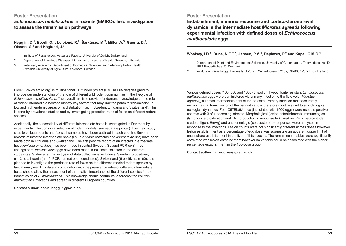*Echinococcus multilocularis* **in rodents (EMIRO): field investigation to assess the transmission pathways**

## **Hegglin, D.1, Beerli, O.1, Loibienė, R.2, Šarkūnas, M.2, Miller, A.3, Guerra, D.1, Olsson, G.3 and Höglund, J.<sup>3</sup>**

- 1. Institute of Parasitology, Vetsuisse Faculty, University of Zurich, Switzerland
- 2. Department of Infectious Diseases, Lithuanian University of Health Science, Lithuania
- 3. Veterinary Academy; Department of Biomedical Sciences and Veterinary Public Health, Swedish University of Agricultural Sciences, Sweden

EMIRO (www.emiro.org) is multinational EU funded project (EMIDA Era-Net) designed to improve our understanding of the role of different wild rodent communities in the lifecycle of *Echinococcus multilocularis*. The overall aim is to provide fundamental knowledge on the role of rodent intermediate hosts to identify key factors that may limit the parasite transmission in low and high endemic areas of its distribution (i.e. in Sweden, Lithuania and Switzerland). This is done by prevalence studies and by investigating predation rates of foxes on different rodent species.

Additionally, the susceptibility of different intermediate hosts is investigated in Denmark by experimental infections in a selection of rodent models (see separate poster). Four field study sites to collect rodents and fox scat samples have been outlined in each country. Several records of infected intermediate hosts (i.e. in *Arvicola terrestris* and *Microtus arvalis*) have been made both in Lithuania and Switzerland. The first positive record of an infected intermediate host (*Arvicola amphibius*) has been made in central Sweden. Several PCR-confirmed findings of *E. multilocularis* eggs have been made in fox scats collected in the different study sites. Status after the first year of data collection is as follows: Sweden (5 positives, n=131), Lithuania (n=45, PCR has not been conducted), Switzerland (6 positives, n=60). It is planned to investigate the predation rate of foxes on the different infected rodent species by faecal analyses. This data in combination with the prevalence rates of different intermediate hosts should allow the assessment of the relative importance of the different species for the transmission of *E. multilocularis*. This knowledge should contribute to forecast the risk for *E. multilocularis* infections and spread in different European countries.

**Contact author: daniel.hegglin@swild.ch**

## **Poster Presentation**

**Establishment, immune response and corticosterone level dynamics in the intermediate host** *Microtus agrestis* **following experimental infection with defined doses of** *Echinococcus multilocularis* **eggs**

### **Woolsey, I.D.1, Bune, N.E.T.1, Jensen, P.M.1, Deplazes, P.2 and Kapel, C.M.O.<sup>1</sup>**

- 1. Department of Plant and Environmental Sciences, University of Copenhagen, Thorvaldsensvej 40, 1871 Frederiksberg C, Denmark.
- 2. Institute of Parasitology, University of Zurich, Winterthurerstr. 266a, CH-8057 Zurich, Switzerland.

Various defined doses (100, 500 and 1000) of sodium hypochlorite resistant *Echinococcus multilocularis* eggs were administered via primary infection to the field vole (*Microtus agrestis*), a known intermediate host of the parasite. Primary infection most accurately mimics natural transmission of the helminth and is therefore most relevant to elucidating its ecological dynamics. Four C57BL/6J mice (inoculated with 1000 eggs) were used as positive controls with 3 of 4 becoming infected. Morphological (lesion establishment), immunological (lymphocyte proliferation and TNF production in response to *E. multilocularis* metacestode crude antigen, EmAg) and endocrinologic (corticosterone) responses were analysed in response to the infections. Lesion counts were not significantly different across doses however lesion establishment as a percentage of egg dose was suggesting an apparent upper limit of oncosphere establishment in the liver of this species. The remaining variables were significantly correlated with lesion establishment however no variable could be associated with the higher percentage establishment in the 100-dose group.

**Contact author: ianwoolsey@plen.ku.dk**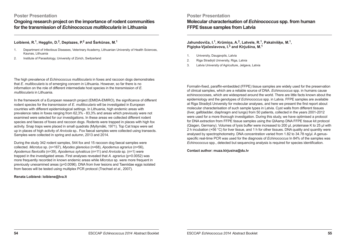**Ongoing research project on the importance of rodent communities for the transmission of** *Echinococcus multilocularis* **in Lithuania**

## **Loibienė, R.1, Hegglin, D.2, Deplazes, P.2 and Šarkūnas, M.<sup>1</sup>**

- 1. Department of Infectious Diseases, Veterinary Academy, Lithuanian University of Health Sciences, Kaunas, Lithuania
- 2. Institute of Parasitology, University of Zürich, Switzerland

The high prevalence of *Echinococcus multilocularis* in foxes and raccoon dogs demonstrates that *E. multilocularis* is of emerging concern in Lithuania. However, so far there is no information on the role of different intermediate host species in the transmission of *E. multilocularis* in Lithuania.

In the framework of a European research project (EMIDA-EMIRO), the significance of different rodent species for the transmission of *E. multilocularis* will be investigated in European countries with different epidemiological settings. In Lithuania, high endemic areas with prevalence rates in foxes ranging from 62,3% - 83,3% and areas which previously were not examined were selected for our investigations. In these areas we collected different rodent species and faeces of foxes and raccoon dogs. Rodents were trapped in places with high fox activity. Snap traps were placed in small quadrats (Myllymäki, 1971). Top Cat traps were set up in places of high activity of *Arvicola* sp.. Fox faecal samples were collected using transects. Samples were collected in spring and autumn, 2013 and 2014.

During the study 342 rodent samples, 544 fox and 15 raccoon dog faecal samples were collected. *Microtus* sp. (n=167), *Myodes glareolus* (n=68), *Apodemus agrarius* (n=56), *Apodemus flavicollis* (n=39), *Apodemus sylvaticus* (n=11) and *Arvicola* sp. (n=1) were trapped in the investigated areas. First analyses revealed that *A. agrarius* (p=0.0052) was more frequently recorded in known endemic areas while *Microtus* sp. were more frequent in previously unexamined areas (p=0.0096). DNA from liver lesions and Taeniidae eggs isolated from faeces will be tested using multiplex PCR protocol (Trachsel *et al*., 2007).

## **Renata Loibienė: loibiene@lva.lt**

## **Poster Presentation**

**Molecular characterisation of** *Echinococcus* **spp. from human FFPE tissue samples from Latvia**

## **Jahundoviča, I.1, Krūmiņa, A.2, Latvele, R.1, Pakalnišķe, M.1, Pigiņka-Vjačeslavova, I.3 and Kirjušina, M.<sup>1</sup>**

- 1. University, Daugavpils, Latvia
- 2. Riga Stradiņš University, Riga, Latvia
- 3. Latvia University of Agriculture, Jelgava, Latvia

Formalin-fixed, paraffin-embedded (FFPE) tissue samples are widely used for the preservation of clinical samples, which are a reliable source of DNA. *Echinococcus* spp. in humans cause echinococcoses, which are widespread around the world. There are little facts known about the epidemiology and the genotypes of *Echinococcus* spp. in Latvia. FFPE samples are available at Riga Stradiņš University for molecular analyses, and here we present the first report about molecular characterisation of such sample types in Latvia. Cyst walls from different tissues (liver, gallbladder, diaphragm and lungs) from 50 patients, collected in the years 2001-2012 were used for a more thorough investigation. During this study, we have optimised a protocol for DNA extraction from FFPE tissue samples using the QIAamp DNA FFPE tissue kit protocol (Qiagen, Germany). Volumes of lysis buffer were increased to 200 µl, proteinase K to 25 µl with 2 h incubation (+56 °C) for liver tissue, and 1 h for other tissues. DNA quality and quantity were analysed by spectrophotometry. DNA concentration varied from 1.82 to 34.78 ng/µl. A genusspecific real-time PCR was used for the diagnosis of *Echinococcus* In 84% of the samples was *Echinococcus* spp., detected but sequencing analysis is required for species identification.

**Contact author: muza.kirjusina@du.lv**